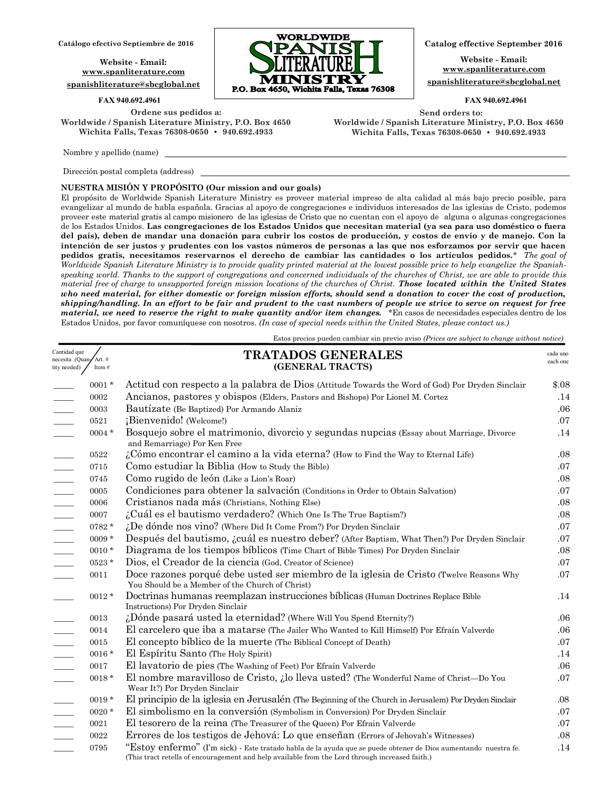**Website - Email: www.spanliterature.com spanishliterature@sbcglobal.net**

**Ordene sus pedidos a: Worldwide / Spanish Literature Ministry, P.O. Box 4650 Wichita Falls, Texas 76308-0650 • 940.692.4933**

Nombre y apellido (name)

Car nec tity Dirección postal completa (address)

### **NUESTRA MISIÓN Y PROPÓSITO (Our mission and our goals)**

El propósito de Worldwide Spanish Literature Ministry es proveer material impreso de alta calidad al más bajo precio posible, para evangelizar al mundo de habla española. Gracias al apoyo de congregaciones e individuos interesados de las iglesias de Cristo, podemos proveer este material gratis al campo misionero de las iglesias de Cristo que no cuentan con el apoyo de alguna o algunas congregaciones de los Estados Unidos. **Las congregaciones de los Estados Unidos que necesitan material (ya sea para uso doméstico o fuera del país), deben de mandar una donación para cubrir los costos de producción, y costos de envío y de manejo. Con la intención de ser justos y prudentes con los vastos números de personas a las que nos esforzamos por servir que hacen pedidos gratis, necesitamos reservarnos el derecho de cambiar las cantidades o los artículos pedidos.**\* *The goal of*  Worldwide Spanish Literature Ministry is to provide quality printed material at the lowest possible price to help evangelize the Spanish*speaking world. Thanks to the support of congregations and concerned individuals of the churches of Christ, we are able to provide this material free of charge to unsupported foreign mission locations of the churches of Christ. Those located within the United States who need material, for either domestic or foreign mission efforts, should send a donation to cover the cost of production, shipping/handling. In an effort to be fair and prudent to the vast numbers of people we strive to serve on request for free material, we need to reserve the right to make quantity and/or item changes.* \*En casos de necesidades especiales dentro de los Estados Unidos, por favor comuníquese con nosotros. *(In case of special needs within the United States, please contact us.)*

Estos precios pueden cambiar sin previo aviso *(Prices are subject to change without notice)*

| Cantidad que<br>necesita (Quan,<br>ity needed) | Art. #<br>Item# | <b>TRATADOS GENERALES</b><br>(GENERAL TRACTS)                                                                                             | cada uno<br>each one |
|------------------------------------------------|-----------------|-------------------------------------------------------------------------------------------------------------------------------------------|----------------------|
|                                                | $0001 *$        | Actitud con respecto a la palabra de Dios (Attitude Towards the Word of God) Por Dryden Sinclair                                          | \$.08                |
|                                                | 0002            | Ancianos, pastores y obispos (Elders, Pastors and Bishops) Por Lionel M. Cortez                                                           | .14                  |
|                                                | 0003            | Bautízate (Be Baptized) Por Armando Alaniz                                                                                                | .06                  |
|                                                | 0521            | ¡Bienvenido! (Welcome!)                                                                                                                   | .07                  |
|                                                | $0004 *$        | Bosquejo sobre el matrimonio, divorcio y segundas nupcias (Essay about Marriage, Divorce<br>and Remarriage) Por Ken Free                  | .14                  |
|                                                | 0522            | $i$ Cómo encontrar el camino a la vida eterna? (How to Find the Way to Eternal Life)                                                      | .08                  |
|                                                | 0715            | Como estudiar la Biblia (How to Study the Bible)                                                                                          | .07                  |
|                                                | 0745            | Como rugido de león (Like a Lion's Roar)                                                                                                  | .08                  |
|                                                | 0005            | Condiciones para obtener la salvación (Conditions in Order to Obtain Salvation)                                                           | .07                  |
| $\overline{\phantom{a}}$                       | 0006            | Cristianos nada más (Christians, Nothing Else)                                                                                            | .08                  |
|                                                | 0007            | ¿Cuál es el bautismo verdadero? (Which One Is The True Baptism?)                                                                          | .08                  |
|                                                | $0782 *$        | ¿De dónde nos vino? (Where Did It Come From?) Por Dryden Sinclair                                                                         | .07                  |
| $\overline{\phantom{a}}$                       | $0009 *$        | Después del bautismo, ¿cuál es nuestro deber? (After Baptism, What Then?) Por Dryden Sinclair                                             | .07                  |
|                                                | $0010 *$        | Diagrama de los tiempos bíblicos (Time Chart of Bible Times) Por Dryden Sinclair                                                          | .08                  |
|                                                | 0523*           | Dios, el Creador de la ciencia (God, Creator of Science)                                                                                  | .07                  |
|                                                | 0011            | Doce razones porqué debe usted ser miembro de la iglesia de Cristo (Twelve Reasons Why<br>You Should be a Member of the Church of Christ) | .07                  |
|                                                | $0012 *$        | Doctrinas humanas reemplazan instrucciones bíblicas (Human Doctrines Replace Bible<br>Instructions) Por Dryden Sinclair                   | .14                  |
|                                                | 0013            | ¿Dónde pasará usted la eternidad? (Where Will You Spend Eternity?)                                                                        | .06                  |
|                                                | 0014            | El carcelero que iba a matarse (The Jailer Who Wanted to Kill Himself) Por Efraín Valverde                                                | .06                  |
|                                                | 0015            | El concepto bíblico de la muerte (The Biblical Concept of Death)                                                                          | .07                  |
|                                                | $0016*$         | El Espíritu Santo (The Holy Spirit)                                                                                                       | .14                  |
|                                                | 0017            | El lavatorio de pies (The Washing of Feet) Por Efraín Valverde                                                                            | .06                  |
|                                                | $0018*$         | El nombre maravilloso de Cristo, ¿lo lleva usted? (The Wonderful Name of Christ—Do You                                                    | .07                  |

**Website - Email: www.spanliterature.com spanishliterature@sbcglobal.net** 

#### **FAX 940.692.4961 FAX 940.692.4961**

 **Send orders to: Worldwide / Spanish Literature Ministry, P.O. Box 4650 Wichita Falls, Texas 76308-0650 • 940.692.4933**



\_\_\_\_\_ 0020 \* El simbolismo en la conversión (Symbolism in Conversion) Por Dryden Sinclair .07 \_\_\_\_\_ 0021 El tesorero de la reina (The Treasurer of the Queen) Por Efrain Valverde .07 \_\_\_\_\_ 0022 Errores de los testigos de Jehová: Lo que enseñan (Errors of Jehovah's Witnesses) .08

Wear It?) Por Dryden Sinclair

0795 "Estoy enfermo" (I'm sick) - Este tratado habla de la ayuda que se puede obtener de Dios aumentando nuestra fe. .14 (This tract retells of encouragement and help available from the Lord through increased faith.)

0019 \* El principio de la iglesia en Jerusalén (The Beginning of the Church in Jerusalem) Por Dryden Sinclair .08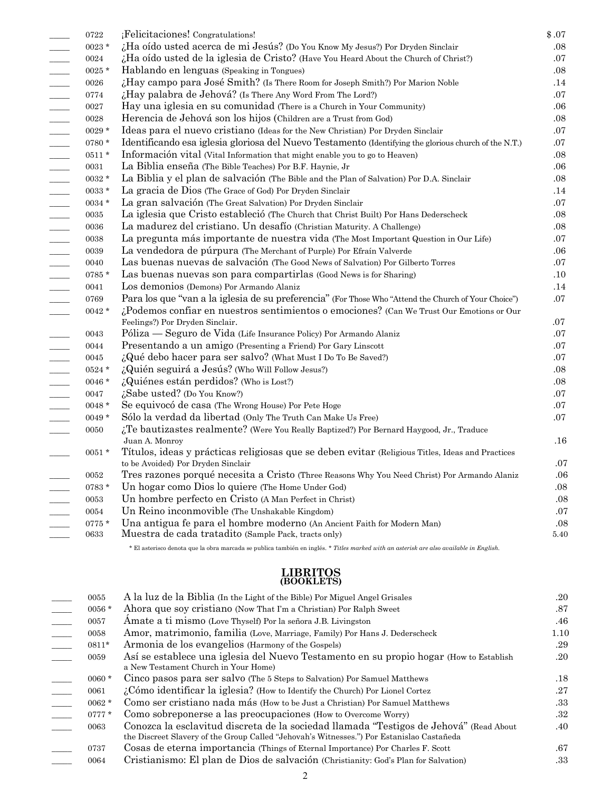| 0722         | ¡Felicitaciones! Congratulations!                                                                     | \$.07   |
|--------------|-------------------------------------------------------------------------------------------------------|---------|
| $0023*$      | ¿Ha oído usted acerca de mi Jesús? (Do You Know My Jesus?) Por Dryden Sinclair                        | .08     |
| 0024         | ¿Ha oído usted de la iglesia de Cristo? (Have You Heard About the Church of Christ?)                  | .07     |
| $0025*$      | Hablando en lenguas (Speaking in Tongues)                                                             | .08     |
| 0026         | ¿Hay campo para José Smith? (Is There Room for Joseph Smith?) Por Marion Noble                        | .14     |
| 0774         | ¿Hay palabra de Jehová? (Is There Any Word From The Lord?)                                            | .07     |
| 0027         | Hay una iglesia en su comunidad (There is a Church in Your Community)                                 | .06     |
| ${\bf 0028}$ | Herencia de Jehová son los hijos (Children are a Trust from God)                                      | .08     |
| $0029*$      | Ideas para el nuevo cristiano (Ideas for the New Christian) Por Dryden Sinclair                       | .07     |
| $0780*$      | Identificando esa iglesia gloriosa del Nuevo Testamento (Identifying the glorious church of the N.T.) | .07     |
| $0511*$      | Información vital (Vital Information that might enable you to go to Heaven)                           | .08     |
| 0031         | La Biblia enseña (The Bible Teaches) Por B.F. Haynie, Jr                                              | .06     |
| $0032*$      | La Biblia y el plan de salvación (The Bible and the Plan of Salvation) Por D.A. Sinclair              | .08     |
| 0033*        | La gracia de Dios (The Grace of God) Por Dryden Sinclair                                              | .14     |
| $0034*$      | La gran salvación (The Great Salvation) Por Dryden Sinclair                                           | .07     |
| 0035         | La iglesia que Cristo estableció (The Church that Christ Built) Por Hans Dederscheck                  | .08     |
| 0036         | La madurez del cristiano. Un desafío (Christian Maturity. A Challenge)                                | .08     |
| 0038         | La pregunta más importante de nuestra vida (The Most Important Question in Our Life)                  | .07     |
| 0039         | La vendedora de púrpura (The Merchant of Purple) Por Efraín Valverde                                  | .06     |
| 0040         | Las buenas nuevas de salvación (The Good News of Salvation) Por Gilberto Torres                       | .07     |
| 0785 *       | Las buenas nuevas son para compartirlas (Good News is for Sharing)                                    | .10     |
| 0041         | Los demonios (Demons) Por Armando Alaniz                                                              | .14     |
| 0769         | Para los que "van a la iglesia de su preferencia" (For Those Who "Attend the Church of Your Choice")  | .07     |
| $0042 *$     | ¿Podemos confiar en nuestros sentimientos o emociones? (Can We Trust Our Emotions or Our              |         |
|              | Feelings?) Por Dryden Sinclair.                                                                       | .07     |
| 0043         | Póliza — Seguro de Vida (Life Insurance Policy) Por Armando Alaniz                                    | .07     |
| 0044         | Presentando a un amigo (Presenting a Friend) Por Gary Linscott                                        | .07     |
| 0045         | ¿Qué debo hacer para ser salvo? (What Must I Do To Be Saved?)                                         | .07     |
| $0524*$      | ¿Quién seguirá a Jesús? (Who Will Follow Jesus?)                                                      | .08     |
| $0046*$      | ¿Quiénes están perdidos? (Who is Lost?)                                                               | .08     |
| 0047         | ¿Sabe usted? (Do You Know?)                                                                           | .07     |
| $0048 *$     | Se equivocó de casa (The Wrong House) Por Pete Hoge                                                   | $.07\,$ |
| $0049 *$     | Sólo la verdad da libertad (Only The Truth Can Make Us Free)                                          | .07     |
| 0050         | ¿Te bautizastes realmente? (Were You Really Baptized?) Por Bernard Haygood, Jr., Traduce              |         |
|              | Juan A. Monroy                                                                                        | .16     |
| $0051 *$     | Títulos, ideas y prácticas religiosas que se deben evitar (Religious Titles, Ideas and Practices      |         |
|              | to be Avoided) Por Dryden Sinclair                                                                    | .07     |
| 0052         | Tres razones porqué necesita a Cristo (Three Reasons Why You Need Christ) Por Armando Alaniz          | .06     |
| $0783 *$     | Un hogar como Dios lo quiere (The Home Under God)                                                     | .08     |
| 0053         | Un hombre perfecto en Cristo (A Man Perfect in Christ)                                                | .08     |
| 0054         | Un Reino inconmovible (The Unshakable Kingdom)                                                        | .07     |
| $0775*$      | Una antigua fe para el hombre moderno (An Ancient Faith for Modern Man)                               | .08     |
| 0633         | Muestra de cada tratadito (Sample Pack, tracts only)                                                  | 5.40    |

\* El asterisco denota que la obra marcada se publica también en inglés. *\* Titles marked with an asterisk are also available in English.*

# **LIBRITOS (BOOKLETS)**

| Ahora que soy cristiano (Now That I'm a Christian) Por Ralph Sweet<br>$0056*$                                                                                                               | .87  |
|---------------------------------------------------------------------------------------------------------------------------------------------------------------------------------------------|------|
| Amate a ti mismo (Love Thyself) Por la señora J.B. Livingston<br>0057                                                                                                                       | .46  |
| Amor, matrimonio, familia (Love, Marriage, Family) Por Hans J. Dederscheck<br>0058                                                                                                          | 1.10 |
| Armonia de los evangelios (Harmony of the Gospels)<br>$0811*$                                                                                                                               | .29  |
| Así se establece una iglesia del Nuevo Testamento en su propio hogar (How to Establish<br>0059<br>a New Testament Church in Your Home)                                                      | .20  |
| Cinco pasos para ser salvo (The 5 Steps to Salvation) Por Samuel Matthews<br>$0060 *$                                                                                                       | .18  |
| ¿Cómo identificar la iglesia? (How to Identify the Church) Por Lionel Cortez<br>0061                                                                                                        | .27  |
| Como ser cristiano nada más (How to be Just a Christian) Por Samuel Matthews<br>$0062 *$                                                                                                    | .33  |
| Como sobreponerse a las preocupaciones (How to Overcome Worry)<br>$0777*$                                                                                                                   | .32  |
| Conozca la esclavitud discreta de la sociedad llamada "Testigos de Jehová" (Read About<br>0063<br>the Discreet Slavery of the Group Called "Jehovah's Witnesses.") Por Estanislao Castañeda | .40  |
| Cosas de eterna importancia (Things of Eternal Importance) Por Charles F. Scott<br>0737                                                                                                     | .67  |
| Cristianismo: El plan de Dios de salvación (Christianity: God's Plan for Salvation)<br>0064                                                                                                 | .33  |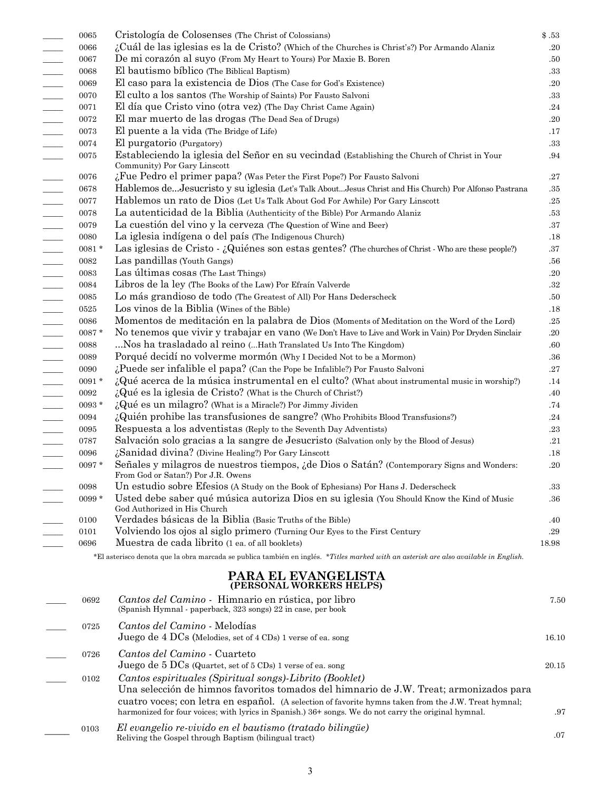|                          | 0065     | Cristología de Colosenses (The Christ of Colossians)                                                                                                                                           | \$.53   |
|--------------------------|----------|------------------------------------------------------------------------------------------------------------------------------------------------------------------------------------------------|---------|
|                          | 0066     | ¿Cuál de las iglesias es la de Cristo? (Which of the Churches is Christ's?) Por Armando Alaniz                                                                                                 | .20     |
|                          | 0067     | De mi corazón al suyo (From My Heart to Yours) Por Maxie B. Boren                                                                                                                              | .50     |
|                          | 0068     | El bautismo bíblico (The Biblical Baptism)                                                                                                                                                     | .33     |
|                          | 0069     | El caso para la existencia de Dios (The Case for God's Existence)                                                                                                                              | .20     |
|                          | 0070     | El culto a los santos (The Worship of Saints) Por Fausto Salvoni                                                                                                                               | .33     |
|                          | 0071     | El día que Cristo vino (otra vez) (The Day Christ Came Again)                                                                                                                                  | .24     |
|                          | 0072     | El mar muerto de las drogas (The Dead Sea of Drugs)                                                                                                                                            | .20     |
|                          | 0073     | El puente a la vida (The Bridge of Life)                                                                                                                                                       | .17     |
|                          | 0074     | El purgatorio (Purgatory)                                                                                                                                                                      | .33     |
|                          | 0075     | Estableciendo la iglesia del Señor en su vecindad (Establishing the Church of Christ in Your<br>Community) Por Gary Linscott                                                                   | .94     |
|                          | 0076     | ¿Fue Pedro el primer papa? (Was Peter the First Pope?) Por Fausto Salvoni                                                                                                                      | .27     |
|                          | 0678     | Hablemos deJesucristo y su iglesia (Let's Talk AboutJesus Christ and His Church) Por Alfonso Pastrana                                                                                          | .35     |
|                          | 0077     | Hablemos un rato de Dios (Let Us Talk About God For Awhile) Por Gary Linscott                                                                                                                  | .25     |
|                          | 0078     | La autenticidad de la Biblia (Authenticity of the Bible) Por Armando Alaniz                                                                                                                    | .53     |
|                          | 0079     | La cuestión del vino y la cerveza (The Question of Wine and Beer)                                                                                                                              | .37     |
|                          | 0080     | La iglesia indígena o del país (The Indigenous Church)                                                                                                                                         | .18     |
|                          | $0081 *$ | Las iglesias de Cristo - ¿Quiénes son estas gentes? (The churches of Christ - Who are these people?)                                                                                           | .37     |
|                          | 0082     | Las pandillas (Youth Gangs)                                                                                                                                                                    | .56     |
|                          | 0083     | Las últimas cosas (The Last Things)                                                                                                                                                            | .20     |
|                          | 0084     | Libros de la ley (The Books of the Law) Por Efraín Valverde                                                                                                                                    | .32     |
|                          | 0085     | Lo más grandioso de todo (The Greatest of All) Por Hans Dederscheck                                                                                                                            | .50     |
| $\overline{a}$           | 0525     | Los vinos de la Biblia (Wines of the Bible)                                                                                                                                                    | .18     |
| $\overline{\phantom{a}}$ | 0086     | Momentos de meditación en la palabra de Dios (Moments of Meditation on the Word of the Lord)                                                                                                   | .25     |
| $\overline{\phantom{a}}$ | $0087 *$ | No tenemos que vivir y trabajar en vano (We Don't Have to Live and Work in Vain) Por Dryden Sinclair                                                                                           | $.20\,$ |
| $\overline{a}$           | 0088     | Nos ha trasladado al reino ( Hath Translated Us Into The Kingdom)                                                                                                                              | .60     |
| $\overline{\phantom{a}}$ | 0089     | Porqué decidí no volverme mormón (Why I Decided Not to be a Mormon)                                                                                                                            | .36     |
| $\overline{\phantom{a}}$ | 0090     | ¿Puede ser infalible el papa? (Can the Pope be Infalible?) Por Fausto Salvoni                                                                                                                  | $.27\,$ |
|                          | $0091*$  | ¿Qué acerca de la música instrumental en el culto? (What about instrumental music in worship?)                                                                                                 | .14     |
| $\overline{\phantom{a}}$ | 0092     | $i_{\mathbf{k}}$ Qué es la iglesia de Cristo? (What is the Church of Christ?)                                                                                                                  | .40     |
| $\overline{\phantom{a}}$ | $0093 *$ | ¿Qué es un milagro? (What is a Miracle?) Por Jimmy Jividen                                                                                                                                     | .74     |
| $\overline{\phantom{a}}$ | 0094     | $\lambda$ Quién prohibe las transfusiones de sangre? (Who Prohibits Blood Transfusions?)                                                                                                       | .24     |
|                          | 0095     | Respuesta a los adventistas (Reply to the Seventh Day Adventists)                                                                                                                              | $.23\,$ |
|                          | 0787     | Salvación solo gracias a la sangre de Jesucristo (Salvation only by the Blood of Jesus)                                                                                                        | .21     |
|                          | 0096     | ¿Sanidad divina? (Divine Healing?) Por Gary Linscott                                                                                                                                           | $.18\,$ |
|                          | $0097 *$ | Señales y milagros de nuestros tiempos, ¿de Dios o Satán? (Contemporary Signs and Wonders:<br>From God or Satan?) Por J.R. Owens                                                               | .20     |
|                          | 0098     | Un estudio sobre Efesios (A Study on the Book of Ephesians) Por Hans J. Dederscheck                                                                                                            | $.33\,$ |
|                          | $0099*$  | Usted debe saber qué música autoriza Dios en su iglesia (You Should Know the Kind of Music<br>God Authorized in His Church                                                                     | .36     |
|                          | 0100     | Verdades básicas de la Biblia (Basic Truths of the Bible)                                                                                                                                      | .40     |
|                          | 0101     | Volviendo los ojos al siglo primero (Turning Our Eyes to the First Century                                                                                                                     | .29     |
|                          | 0696     | Muestra de cada librito (1 ea. of all booklets)                                                                                                                                                | 18.98   |
|                          |          | *El asterisco denota que la obra marcada se publica también en inglés. *Titles marked with an asterisk are also available in English.                                                          |         |
|                          |          | PARA EL EVANGELISTA<br>(PERSONAL WORKERS HELPS)                                                                                                                                                |         |
|                          | 0692     | Cantos del Camino - Himnario en rústica, por libro<br>(Spanish Hymnal - paperback, 323 songs) 22 in case, per book                                                                             | 7.50    |
|                          | 0725     | Cantos del Camino - Melodías<br>Juego de 4 DCs (Melodies, set of 4 CDs) 1 verse of ea. song                                                                                                    | 16.10   |
|                          | 0726     | Cantos del Camino - Cuarteto<br>Juego de 5 $DCs$ (Quartet, set of 5 $CDs$ ) 1 verse of ea. song                                                                                                | 20.15   |
|                          | 0102     | Cantos espirituales (Spiritual songs) Librito (Booklet)                                                                                                                                        |         |
|                          |          | Una selección de himnos favoritos tomados del himnario de J.W. Treat; armonizados para<br>cuatro voces; con letra en español. (A selection of favorite hymns taken from the J.W. Treat hymnal; |         |

 harmonized for four voices; with lyrics in Spanish.) 36+ songs. We do not carry the original hymnal. .97 *El evangelio re-vivido en el bautismo (tratado bilingüe)*  \_\_\_\_\_ 0103

.07

Reliving the Gospel through Baptism (bilingual tract)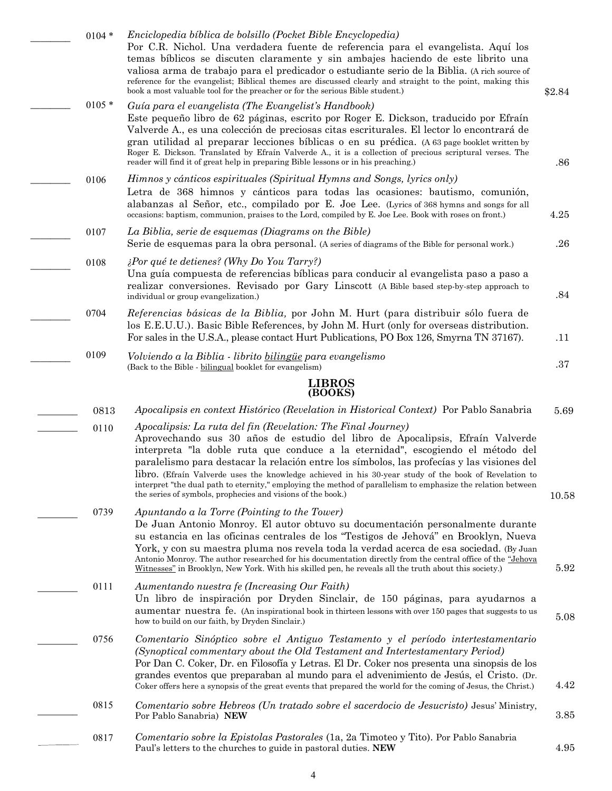| $0104 *$ | Enciclopedia bíblica de bolsillo (Pocket Bible Encyclopedia)<br>Por C.R. Nichol. Una verdadera fuente de referencia para el evangelista. Aquí los<br>temas bíblicos se discuten claramente y sin ambajes haciendo de este librito una<br>valiosa arma de trabajo para el predicador o estudiante serio de la Biblia. (A rich source of<br>reference for the evangelist; Biblical themes are discussed clearly and straight to the point, making this<br>book a most valuable tool for the preacher or for the serious Bible student.)                                                                                  | \$2.84      |
|----------|------------------------------------------------------------------------------------------------------------------------------------------------------------------------------------------------------------------------------------------------------------------------------------------------------------------------------------------------------------------------------------------------------------------------------------------------------------------------------------------------------------------------------------------------------------------------------------------------------------------------|-------------|
| $0105*$  | Guía para el evangelista (The Evangelist's Handbook)<br>Este pequeño libro de 62 páginas, escrito por Roger E. Dickson, traducido por Efraín<br>Valverde A., es una colección de preciosas citas escriturales. El lector lo encontrará de<br>gran utilidad al preparar lecciones bíblicas o en su prédica. (A 63 page booklet written by<br>Roger E. Dickson. Translated by Efraín Valverde A., it is a collection of precious scriptural verses. The<br>reader will find it of great help in preparing Bible lessons or in his preaching.)                                                                            | .86         |
| 0106     | Himnos y cánticos espirituales (Spiritual Hymns and Songs, lyrics only)<br>Letra de 368 himnos y cánticos para todas las ocasiones: bautismo, comunión,<br>alabanzas al Señor, etc., compilado por E. Joe Lee. (Lyrics of 368 hymns and songs for all                                                                                                                                                                                                                                                                                                                                                                  |             |
| 0107     | occasions: baptism, communion, praises to the Lord, compiled by E. Joe Lee. Book with roses on front.)<br>La Biblia, serie de esquemas (Diagrams on the Bible)<br>Serie de esquemas para la obra personal. (A series of diagrams of the Bible for personal work.)                                                                                                                                                                                                                                                                                                                                                      | 4.25<br>.26 |
| 0108     | $\lambda$ Por qué te detienes? (Why Do You Tarry?)<br>Una guía compuesta de referencias bíblicas para conducir al evangelista paso a paso a<br>realizar conversiones. Revisado por Gary Linscott (A Bible based step-by-step approach to<br>individual or group evangelization.)                                                                                                                                                                                                                                                                                                                                       | .84         |
| 0704     | Referencias básicas de la Biblia, por John M. Hurt (para distribuir sólo fuera de<br>los E.E.U.U.). Basic Bible References, by John M. Hurt (only for overseas distribution.<br>For sales in the U.S.A., please contact Hurt Publications, PO Box 126, Smyrna TN 37167).                                                                                                                                                                                                                                                                                                                                               | .11         |
| 0109     | Volviendo a la Biblia - librito bilingüe para evangelismo<br>(Back to the Bible - bilingual booklet for evangelism)                                                                                                                                                                                                                                                                                                                                                                                                                                                                                                    | $.37\,$     |
|          | <b>LIBROS</b><br>(BOOKS)                                                                                                                                                                                                                                                                                                                                                                                                                                                                                                                                                                                               |             |
| 0813     | Apocalipsis en context Histórico (Revelation in Historical Context) Por Pablo Sanabria                                                                                                                                                                                                                                                                                                                                                                                                                                                                                                                                 | 5.69        |
| 0110     | Apocalipsis: La ruta del fin (Revelation: The Final Journey)<br>Aprovechando sus 30 años de estudio del libro de Apocalipsis, Efraín Valverde<br>interpreta "la doble ruta que conduce a la eternidad", escogiendo el método del<br>paralelismo para destacar la relación entre los símbolos, las profecías y las visiones del<br>libro. (Efraín Valverde uses the knowledge achieved in his 30-year study of the book of Revelation to<br>interpret "the dual path to eternity," employing the method of parallelism to emphasize the relation between<br>the series of symbols, prophecies and visions of the book.) | 10.58       |
| 0739     | Apuntando a la Torre (Pointing to the Tower)<br>De Juan Antonio Monroy. El autor obtuvo su documentación personalmente durante<br>su estancia en las oficinas centrales de los "Testigos de Jehová" en Brooklyn, Nueva<br>York, y con su maestra pluma nos revela toda la verdad acerca de esa sociedad. (By Juan<br>Antonio Monroy. The author researched for his documentation directly from the central office of the "Jehova"<br>Witnesses" in Brooklyn, New York. With his skilled pen, he reveals all the truth about this society.)                                                                             | 5.92        |
| 0111     | Aumentando nuestra fe (Increasing Our Faith)<br>Un libro de inspiración por Dryden Sinclair, de 150 páginas, para ayudarnos a<br>aumentar nuestra fe. (An inspirational book in thirteen lessons with over 150 pages that suggests to us<br>how to build on our faith, by Dryden Sinclair.)                                                                                                                                                                                                                                                                                                                            | 5.08        |
| 0756     | Comentario Sinóptico sobre el Antiguo Testamento y el período intertestamentario<br>(Synoptical commentary about the Old Testament and Intertestamentary Period)<br>Por Dan C. Coker, Dr. en Filosofía y Letras. El Dr. Coker nos presenta una sinopsis de los<br>grandes eventos que preparaban al mundo para el advenimiento de Jesús, el Cristo. (Dr.<br>Coker offers here a synopsis of the great events that prepared the world for the coming of Jesus, the Christ.)                                                                                                                                             | 4.42        |
| 0815     | Comentario sobre Hebreos (Un tratado sobre el sacerdocio de Jesucristo) Jesus' Ministry,<br>Por Pablo Sanabria) NEW                                                                                                                                                                                                                                                                                                                                                                                                                                                                                                    | 3.85        |
| 0817     | Comentario sobre la Epistolas Pastorales (1a, 2a Timoteo y Tito). Por Pablo Sanabria<br>Paul's letters to the churches to guide in pastoral duties. NEW                                                                                                                                                                                                                                                                                                                                                                                                                                                                | 4.95        |
|          |                                                                                                                                                                                                                                                                                                                                                                                                                                                                                                                                                                                                                        |             |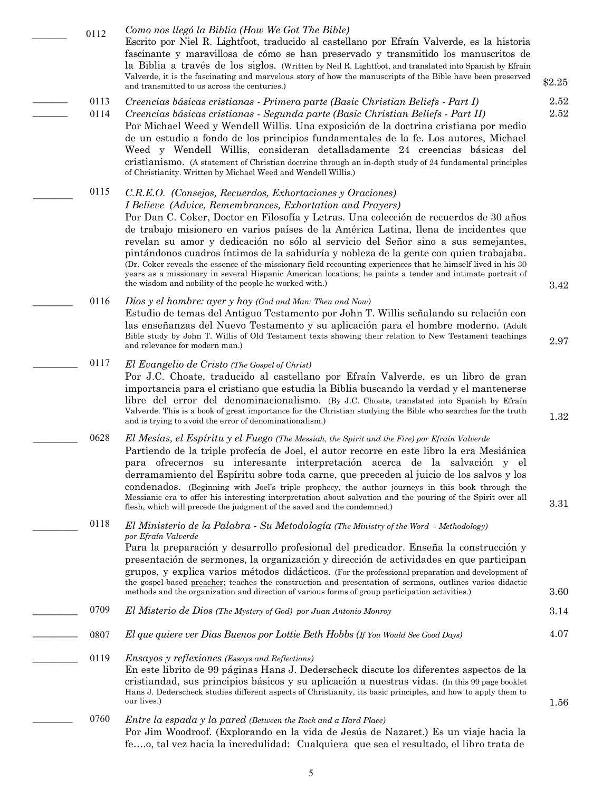5

#### \_\_\_\_\_\_\_ 0112 *Como nos llegó la Biblia (How We Got The Bible)*

 $\overline{\phantom{a}}$  $\overline{\phantom{a}}$ 

 $\overline{\phantom{a}}$ 

 $\overline{\phantom{a}}$ 

 $\overline{\phantom{a}}$ 

 $\overline{\phantom{a}}$ 

 $\overline{\phantom{a}}$ 

 $\overline{\phantom{a}}$ 

Escrito por Niel R. Lightfoot, traducido al castellano por Efraín Valverde, es la historia fascinante y maravillosa de cómo se han preservado y transmitido los manuscritos de la Biblia a través de los siglos. (Written by Neil R. Lightfoot, and translated into Spanish by Efraín Valverde, it is the fascinating and marvelous story of how the manuscripts of the Bible have been preserved and transmitted to us across the centuries.)

- *Creencias básicas cristianas - Primera parte (Basic Christian Beliefs - Part I)* 0113
- *Creencias básicas cristianas - Segunda parte (Basic Christian Beliefs - Part II)* Por Michael Weed y Wendell Willis. Una exposición de la doctrina cristiana por medio de un estudio a fondo de los principios fundamentales de la fe. Los autores, Michael Weed y Wendell Willis, consideran detalladamente 24 creencias básicas del cristianismo. (A statement of Christian doctrine through an in-depth study of 24 fundamental principles of Christianity. Written by Michael Weed and Wendell Willis.) 0114

#### *C.R.E.O. (Consejos, Recuerdos, Exhortaciones y Oraciones) I Believe (Advice, Remembrances, Exhortation and Prayers)* Por Dan C. Coker, Doctor en Filosofía y Letras. Una colección de recuerdos de 30 años de trabajo misionero en varios países de la América Latina, llena de incidentes que revelan su amor y dedicación no sólo al servicio del Señor sino a sus semejantes, pintándonos cuadros íntimos de la sabiduría y nobleza de la gente con quien trabajaba. (Dr. Coker reveals the essence of the missionary field recounting experiences that he himself lived in his 30 years as a missionary in several Hispanic American locations; he paints a tender and intimate portrait of the wisdom and nobility of the people he worked with.) 0115

- *Dios y el hombre: ayer y hoy (God and Man: Then and Now)* Estudio de temas del Antiguo Testamento por John T. Willis señalando su relación con las enseñanzas del Nuevo Testamento y su aplicación para el hombre moderno. (Adult Bible study by John T. Willis of Old Testament texts showing their relation to New Testament teachings and relevance for modern man.) 2.97 0116
- *El Evangelio de Cristo (The Gospel of Christ)* Por J.C. Choate, traducido al castellano por Efraín Valverde, es un libro de gran importancia para el cristiano que estudia la Biblia buscando la verdad y el mantenerse libre del error del denominacionalismo. (By J.C. Choate, translated into Spanish by Efraín Valverde. This is a book of great importance for the Christian studying the Bible who searches for the truth and is trying to avoid the error of denominationalism.) 0117
- *El Mesías, el Espíritu y el Fuego (The Messiah, the Spirit and the Fire) por Efraín Valverde* Partiendo de la triple profecía de Joel, el autor recorre en este libro la era Mesiánica para ofrecernos su interesante interpretación acerca de la salvación y el derramamiento del Espíritu sobre toda carne, que preceden al juicio de los salvos y los condenados. (Beginning with Joel's triple prophecy, the author journeys in this book through the Messianic era to offer his interesting interpretation about salvation and the pouring of the Spirit over all flesh, which will precede the judgment of the saved and the condemned.) 0628

#### *El Ministerio de la Palabra - Su Metodología (The Ministry of the Word - Methodology) por Efraín Valverde* 0118

Para la preparación y desarrollo profesional del predicador. Enseña la construcción y presentación de sermones, la organización y dirección de actividades en que participan grupos, y explica varios métodos didácticos. (For the professional preparation and development of the gospel-based preacher; teaches the construction and presentation of sermons, outlines varios didactic methods and the organization and direction of various forms of group participation activities.)

- *El Misterio de Dios (The Mystery of God) por Juan Antonio Monroy* 3.14  $\overline{\phantom{a}}$ 0709
- *El que quiere ver Dias Buenos por Lottie Beth Hobbs (If You Would See Good Days)* 4.07  $\frac{1}{2}$ 0807
- *Ensayos y reflexiones (Essays and Reflections)* En este librito de 99 páginas Hans J. Dederscheck discute los diferentes aspectos de la cristiandad, sus principios básicos y su aplicación a nuestras vidas. (In this 99 page booklet Hans J. Dederscheck studies different aspects of Christianity, its basic principles, and how to apply them to our lives.)  $\overline{\phantom{a}}$ 0119
	- *Entre la espada y la pared (Between the Rock and a Hard Place)* Por Jim Woodroof. (Explorando en la vida de Jesús de Nazaret.) Es un viaje hacia la fe….o, tal vez hacia la incredulidad: Cualquiera que sea el resultado, el libro trata de 0760

3.42

2.52 2.52

\$2.25

1.32

3.31

3.60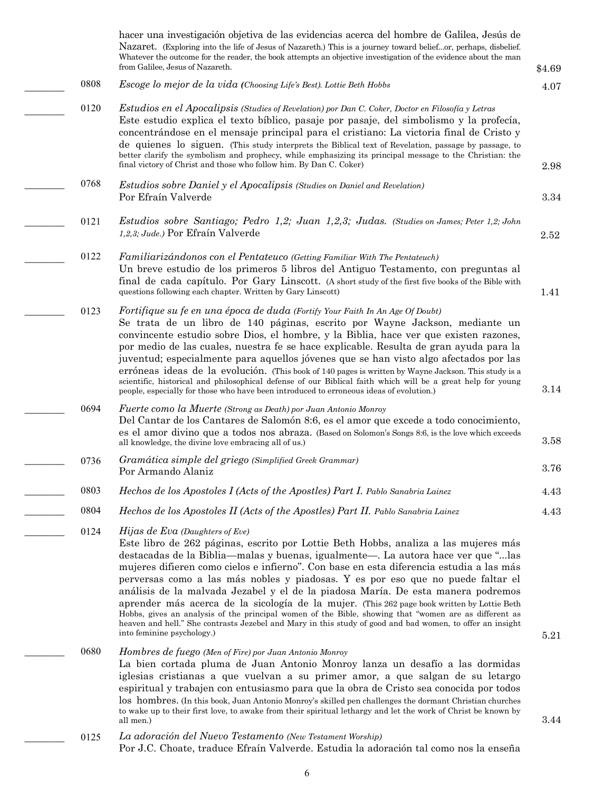|      | hacer una investigación objetiva de las evidencias acerca del hombre de Galilea, Jesús de<br>Nazaret. (Exploring into the life of Jesus of Nazareth.) This is a journey toward beliefor, perhaps, disbelief.<br>Whatever the outcome for the reader, the book attempts an objective investigation of the evidence about the man<br>from Galilee, Jesus of Nazareth.                                                                                                                                                                                                                                                                                                                                                                                                                                                                | \$4.69 |
|------|------------------------------------------------------------------------------------------------------------------------------------------------------------------------------------------------------------------------------------------------------------------------------------------------------------------------------------------------------------------------------------------------------------------------------------------------------------------------------------------------------------------------------------------------------------------------------------------------------------------------------------------------------------------------------------------------------------------------------------------------------------------------------------------------------------------------------------|--------|
| 0808 | Escoge lo mejor de la vida (Choosing Life's Best). Lottie Beth Hobbs                                                                                                                                                                                                                                                                                                                                                                                                                                                                                                                                                                                                                                                                                                                                                               | 4.07   |
| 0120 | Estudios en el Apocalipsis (Studies of Revelation) por Dan C. Coker, Doctor en Filosofía y Letras<br>Este estudio explica el texto bíblico, pasaje por pasaje, del simbolismo y la profecía,<br>concentrándose en el mensaje principal para el cristiano: La victoria final de Cristo y<br>de quienes lo siguen. (This study interprets the Biblical text of Revelation, passage by passage, to<br>better clarify the symbolism and prophecy, while emphasizing its principal message to the Christian: the<br>final victory of Christ and those who follow him. By Dan C. Coker)                                                                                                                                                                                                                                                  | 2.98   |
| 0768 | <i>Estudios sobre Daniel y el Apocalipsis (Studies on Daniel and Revelation)</i><br>Por Efraín Valverde                                                                                                                                                                                                                                                                                                                                                                                                                                                                                                                                                                                                                                                                                                                            | 3.34   |
| 0121 | Estudios sobre Santiago; Pedro 1,2; Juan 1,2,3; Judas. (Studies on James; Peter 1,2; John<br>1,2,3; Jude.) Por Efraín Valverde                                                                                                                                                                                                                                                                                                                                                                                                                                                                                                                                                                                                                                                                                                     | 2.52   |
| 0122 | Familiarizándonos con el Pentateuco (Getting Familiar With The Pentateuch)<br>Un breve estudio de los primeros 5 libros del Antiguo Testamento, con preguntas al<br>final de cada capítulo. Por Gary Linscott. (A short study of the first five books of the Bible with<br>questions following each chapter. Written by Gary Linscott)                                                                                                                                                                                                                                                                                                                                                                                                                                                                                             | 1.41   |
| 0123 | Fortifique su fe en una época de duda (Fortify Your Faith In An Age Of Doubt)<br>Se trata de un libro de 140 páginas, escrito por Wayne Jackson, mediante un<br>convincente estudio sobre Dios, el hombre, y la Biblia, hace ver que existen razones,<br>por medio de las cuales, nuestra fe se hace explicable. Resulta de gran ayuda para la<br>juventud; especialmente para aquellos jóvenes que se han visto algo afectados por las<br>erróneas ideas de la evolución. (This book of 140 pages is written by Wayne Jackson. This study is a<br>scientific, historical and philosophical defense of our Biblical faith which will be a great help for young<br>people, especially for those who have been introduced to erroneous ideas of evolution.)                                                                          | 3.14   |
| 0694 | Fuerte como la Muerte (Strong as Death) por Juan Antonio Monroy<br>Del Cantar de los Cantares de Salomón 8:6, es el amor que excede a todo conocimiento,<br>es el amor divino que a todos nos abraza. (Based on Solomon's Songs 8:6, is the love which exceeds<br>all knowledge, the divine love embracing all of us.)                                                                                                                                                                                                                                                                                                                                                                                                                                                                                                             | 3.58   |
| 0736 | Gramática simple del griego (Simplified Greek Grammar)<br>Por Armando Alaniz                                                                                                                                                                                                                                                                                                                                                                                                                                                                                                                                                                                                                                                                                                                                                       | 3.76   |
| 0803 | Hechos de los Apostoles I (Acts of the Apostles) Part I. Pablo Sanabria Lainez                                                                                                                                                                                                                                                                                                                                                                                                                                                                                                                                                                                                                                                                                                                                                     | 4.43   |
| 0804 | Hechos de los Apostoles II (Acts of the Apostles) Part II. Pablo Sanabria Lainez                                                                                                                                                                                                                                                                                                                                                                                                                                                                                                                                                                                                                                                                                                                                                   | 4.43   |
| 0124 | $Hijas$ de Eva (Daughters of Eve)<br>Este libro de 262 páginas, escrito por Lottie Beth Hobbs, analiza a las mujeres más<br>destacadas de la Biblia—malas y buenas, igualmente—. La autora hace ver que " las<br>mujeres difieren como cielos e infierno". Con base en esta diferencia estudia a las más<br>perversas como a las más nobles y piadosas. Y es por eso que no puede faltar el<br>análisis de la malvada Jezabel y el de la piadosa María. De esta manera podremos<br>aprender más acerca de la sicología de la mujer. (This 262 page book written by Lottie Beth<br>Hobbs, gives an analysis of the principal women of the Bible, showing that "women are as different as<br>heaven and hell." She contrasts Jezebel and Mary in this study of good and bad women, to offer an insight<br>into feminine psychology.) | 5.21   |
| 0680 | Hombres de fuego (Men of Fire) por Juan Antonio Monroy<br>La bien cortada pluma de Juan Antonio Monroy lanza un desafío a las dormidas<br>iglesias cristianas a que vuelvan a su primer amor, a que salgan de su letargo<br>espiritual y trabajen con entusiasmo para que la obra de Cristo sea conocida por todos<br>los hombres. (In this book, Juan Antonio Monroy's skilled pen challenges the dormant Christian churches<br>to wake up to their first love, to awake from their spiritual lethargy and let the work of Christ be known by<br>all men.)                                                                                                                                                                                                                                                                        | 3.44   |
| 0125 | La adoración del Nuevo Testamento (New Testament Worship)                                                                                                                                                                                                                                                                                                                                                                                                                                                                                                                                                                                                                                                                                                                                                                          |        |

Por J.C. Choate, traduce Efraín Valverde. Estudia la adoración tal como nos la enseña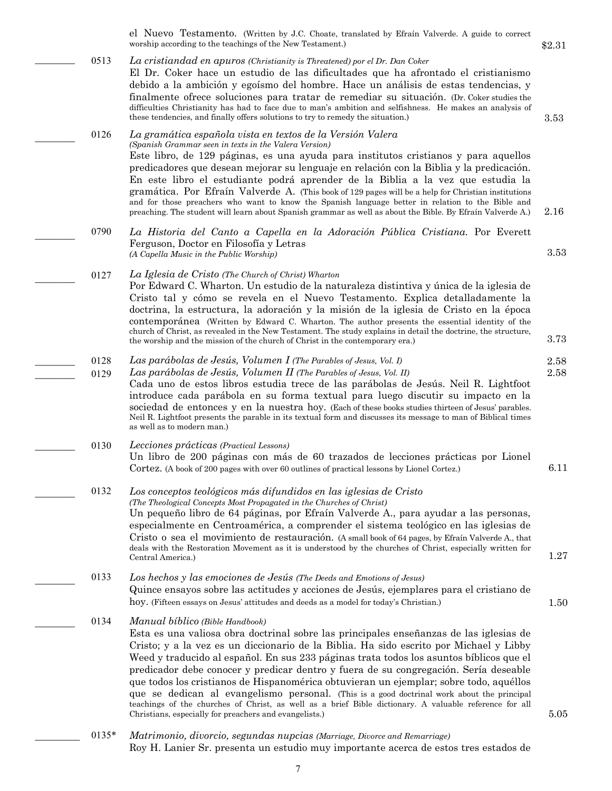el Nuevo Testamento. (Written by J.C. Choate, translated by Efraín Valverde. A guide to correct worship according to the teachings of the New Testament.)

0513 *La cristiandad en apuros (Christianity is Threatened) por el Dr. Dan Coker* El Dr. Coker hace un estudio de las dificultades que ha afrontado el cristianismo debido a la ambición y egoísmo del hombre. Hace un análisis de estas tendencias, y finalmente ofrece soluciones para tratar de remediar su situación. (Dr. Coker studies the difficulties Christianity has had to face due to man's ambition and selfishness. He makes an analysis of these tendencies, and finally offers solutions to try to remedy the situation.)

0126 *La gramática española vista en textos de la Versión Valera (Spanish Grammar seen in texts in the Valera Version)* Este libro, de 129 páginas, es una ayuda para institutos cristianos y para aquellos predicadores que desean mejorar su lenguaje en relación con la Biblia y la predicación. En este libro el estudiante podrá aprender de la Biblia a la vez que estudia la gramática. Por Efraín Valverde A. (This book of 129 pages will be a help for Christian institutions and for those preachers who want to know the Spanish language better in relation to the Bible and preaching. The student will learn about Spanish grammar as well as about the Bible. By Efraín Valverde A.)

0790 *La Historia del Canto a Capella en la Adoración Pública Cristiana.* Por Everett Ferguson, Doctor en Filosofía y Letras *(A Capella Music in the Public Worship)*

0127 *La Iglesia de Cristo (The Church of Christ) Wharton* Por Edward C. Wharton. Un estudio de la naturaleza distintiva y única de la iglesia de Cristo tal y cómo se revela en el Nuevo Testamento. Explica detalladamente la doctrina, la estructura, la adoración y la misión de la iglesia de Cristo en la época contemporánea (Written by Edward C. Wharton. The author presents the essential identity of the church of Christ, as revealed in the New Testament. The study explains in detail the doctrine, the structure, the worship and the mission of the church of Christ in the contemporary era.)

0128 *Las parábolas de Jesús, Volumen I (The Parables of Jesus, Vol. I)*

 $\overline{\phantom{a}}$ 

 $\overline{\phantom{a}}$ 

 $\overline{\phantom{a}}$ 

 $\overline{\phantom{a}}$ 

 $\overline{\phantom{a}}$  $\overline{\phantom{a}}$ 

 $\overline{\phantom{a}}$ 

 $\overline{\phantom{a}}$ 

 $\overline{\phantom{a}}$ 

 $\overline{\phantom{a}}$ 

 $\overline{\phantom{a}}$ 

- 0129 *Las parábolas de Jesús, Volumen II (The Parables of Jesus, Vol. II)* Cada uno de estos libros estudia trece de las parábolas de Jesús. Neil R. Lightfoot 2.58
	- introduce cada parábola en su forma textual para luego discutir su impacto en la sociedad de entonces y en la nuestra hoy. (Each of these books studies thirteen of Jesus' parables. Neil R. Lightfoot presents the parable in its textual form and discusses its message to man of Biblical times as well as to modern man.)

#### 0130 *Lecciones prácticas (Practical Lessons)* Un libro de 200 páginas con más de 60 trazados de lecciones prácticas por Lionel Cortez. (A book of 200 pages with over 60 outlines of practical lessons by Lionel Cortez.)

#### 0132 *Los conceptos teológicos más difundidos en las iglesias de Cristo (The Theological Concepts Most Propagated in the Churches of Christ)* Un pequeño libro de 64 páginas, por Efraín Valverde A., para ayudar a las personas, especialmente en Centroamérica, a comprender el sistema teológico en las iglesias de Cristo o sea el movimiento de restauración. (A small book of 64 pages, by Efraín Valverde A., that deals with the Restoration Movement as it is understood by the churches of Christ, especially written for Central America.)

- 0133 *Los hechos y las emociones de Jesús (The Deeds and Emotions of Jesus)* Quince ensayos sobre las actitudes y acciones de Jesús, ejemplares para el cristiano de hoy. (Fifteen essays on Jesus' attitudes and deeds as a model for today's Christian.)
- 0134 *Manual bíblico (Bible Handbook)* Esta es una valiosa obra doctrinal sobre las principales enseñanzas de las iglesias de Cristo; y a la vez es un diccionario de la Biblia. Ha sido escrito por Michael y Libby Weed y traducido al español. En sus 233 páginas trata todos los asuntos bíblicos que el predicador debe conocer y predicar dentro y fuera de su congregación. Sería deseable que todos los cristianos de Hispanomérica obtuvieran un ejemplar; sobre todo, aquéllos que se dedican al evangelismo personal. (This is a good doctrinal work about the principal teachings of the churches of Christ, as well as a brief Bible dictionary. A valuable reference for all Christians, especially for preachers and evangelists.)
- 5.05
- 0135\* *Matrimonio, divorcio, segundas nupcias (Marriage, Divorce and Remarriage)* Roy H. Lanier Sr. presenta un estudio muy importante acerca de estos tres estados de

3.53

2.16

3.53

3.73

2.58

6.11

1.27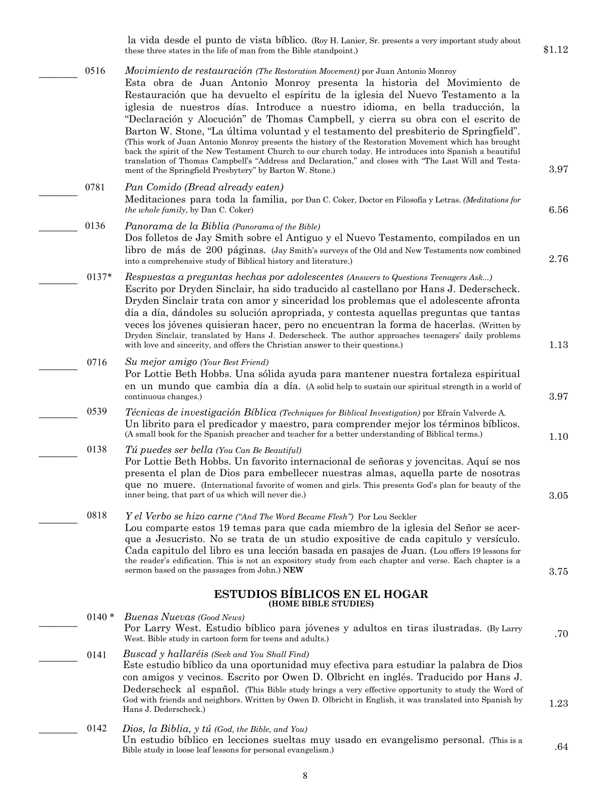la vida desde el punto de vista bíblico. (Roy H. Lanier, Sr. presents a very important study about these three states in the life of man from the Bible standpoint.)

- $\overline{\phantom{a}}$ 3.97 0516 *Movimiento de restauración (The Restoration Movement)* por Juan Antonio Monroy Esta obra de Juan Antonio Monroy presenta la historia del Movimiento de Restauración que ha devuelto el espíritu de la iglesia del Nuevo Testamento a la iglesia de nuestros días. Introduce a nuestro idioma, en bella traducción, la "Declaración y Alocución" de Thomas Campbell, y cierra su obra con el escrito de Barton W. Stone, "La última voluntad y el testamento del presbiterio de Springfield". (This work of Juan Antonio Monroy presents the history of the Restoration Movement which has brought back the spirit of the New Testament Church to our church today. He introduces into Spanish a beautiful translation of Thomas Campbell's "Address and Declaration," and closes with "The Last Will and Testament of the Springfield Presbytery" by Barton W. Stone.)
- $\overline{\phantom{a}}$ 0781 *Pan Comido (Bread already eaten)*  Meditaciones para toda la familia, por Dan C. Coker, Doctor en Filosofía y Letras. *(Meditations for the whole family*, by Dan C. Coker)
	- 0136 *Panorama de la Biblia (Panorama of the Bible)* Dos folletos de Jay Smith sobre el Antiguo y el Nuevo Testamento, compilados en un libro de más de 200 páginas. (Jay Smith's surveys of the Old and New Testaments now combined into a comprehensive study of Biblical history and literature.)
- $\overline{\phantom{a}}$ 0137\* *Respuestas a preguntas hechas por adolescentes (Answers to Questions Teenagers Ask...)* Escrito por Dryden Sinclair, ha sido traducido al castellano por Hans J. Dederscheck. Dryden Sinclair trata con amor y sinceridad los problemas que el adolescente afronta día a día, dándoles su solución apropriada, y contesta aquellas preguntas que tantas veces los jóvenes quisieran hacer, pero no encuentran la forma de hacerlas. (Written by Dryden Sinclair, translated by Hans J. Dederscheck. The author approaches teenagers' daily problems with love and sincerity, and offers the Christian answer to their questions.)

#### $\overline{\phantom{a}}$ 0716 *Su mejor amigo (Your Best Friend)*

 $\overline{\phantom{a}}$ 

 $\overline{\phantom{a}}$ 

 $\overline{\phantom{a}}$ 

 $\overline{\phantom{a}}$ 

Por Lottie Beth Hobbs. Una sólida ayuda para mantener nuestra fortaleza espiritual en un mundo que cambia día a día. (A solid help to sustain our spiritual strength in a world of continuous changes.)

 $\overline{\phantom{a}}$ 0539 *Técnicas de investigación Bíblica (Techniques for Biblical Investigation)* por Efraín Valverde A. Un librito para el predicador y maestro, para comprender mejor los términos bíblicos. (A small book for the Spanish preacher and teacher for a better understanding of Biblical terms.)

 $\overline{\phantom{a}}$ 0138 *Tú puedes ser bella (You Can Be Beautiful)*

Por Lottie Beth Hobbs. Un favorito internacional de señoras y jovencitas. Aquí se nos presenta el plan de Dios para embellecer nuestras almas, aquella parte de nosotras que no muere. (International favorite of women and girls. This presents God's plan for beauty of the inner being, that part of us which will never die.)

 $\overline{\phantom{a}}$ 3.75 0818 *Y el Verbo se hizo carne ("And The Word Became Flesh")* Por Lou Seckler Lou comparte estos 19 temas para que cada miembro de la iglesia del Señor se acerque a Jesucristo. No se trata de un studio expositive de cada capitulo y versículo. Cada capitulo del libro es una lección basada en pasajes de Juan. (Lou offers 19 lessons for the reader's edification. This is not an expository study from each chapter and verse. Each chapter is a sermon based on the passages from John.) **NEW**

#### **ESTUDIOS BÍBLICOS EN EL HOGAR (HOME BIBLE STUDIES)**

- *Buenas Nuevas (Good News)* Por Larry West. Estudio bíblico para jóvenes y adultos en tiras ilustradas. (By Larry West. Bible study in cartoon form for teens and adults.)  $0140 *$
- 1.23 0141 *Buscad y hallaréis (Seek and You Shall Find)* Este estudio bíblico da una oportunidad muy efectiva para estudiar la palabra de Dios con amigos y vecinos. Escrito por Owen D. Olbricht en inglés. Traducido por Hans J. Dederscheck al español. (This Bible study brings a very effective opportunity to study the Word of God with friends and neighbors. Written by Owen D. Olbricht in English, it was translated into Spanish by Hans J. Dederscheck.)
- 0142 *Dios, la Biblia, y tú (God, the Bible, and You)* Un estudio bíblico en lecciones sueltas muy usado en evangelismo personal. (This is a Bible study in loose leaf lessons for personal evangelism.)

6.56

2.76

1.13

3.97

1.10

3.05

.70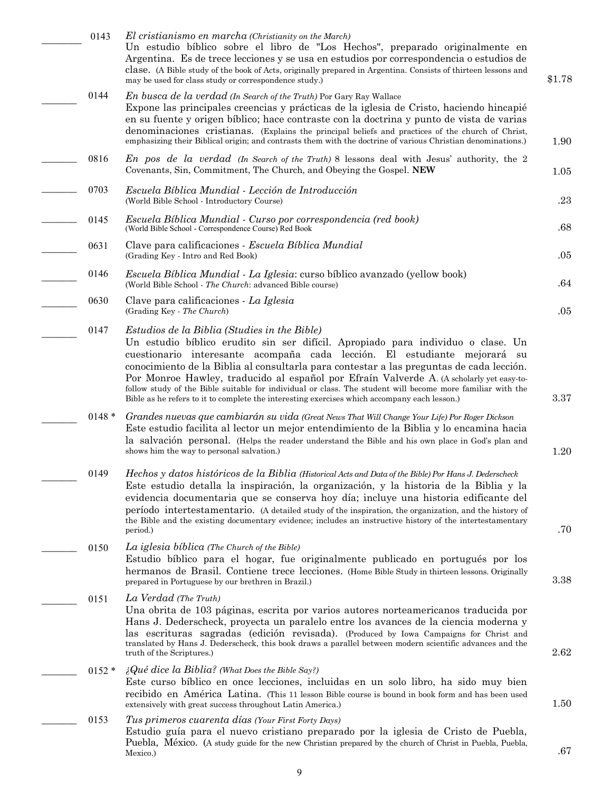| 0143     | El cristianismo en marcha (Christianity on the March)<br>Un estudio bíblico sobre el libro de "Los Hechos", preparado originalmente en<br>Argentina. Es de trece lecciones y se usa en estudios por correspondencia o estudios de<br>clase. (A Bible study of the book of Acts, originally prepared in Argentina. Consists of thirteen lessons and<br>may be used for class study or correspondence study.)                                                                                                                                                                                                         | \$1.78 |
|----------|---------------------------------------------------------------------------------------------------------------------------------------------------------------------------------------------------------------------------------------------------------------------------------------------------------------------------------------------------------------------------------------------------------------------------------------------------------------------------------------------------------------------------------------------------------------------------------------------------------------------|--------|
| 0144     | <i>En busca de la verdad (In Search of the Truth)</i> Por Gary Ray Wallace<br>Expone las principales creencias y prácticas de la iglesia de Cristo, haciendo hincapié<br>en su fuente y origen bíblico; hace contraste con la doctrina y punto de vista de varias<br>denominaciones cristianas. (Explains the principal beliefs and practices of the church of Christ,<br>emphasizing their Biblical origin; and contrasts them with the doctrine of various Christian denominations.)                                                                                                                              | 1.90   |
| 0816     | En pos de la verdad (In Search of the Truth) 8 lessons deal with Jesus' authority, the 2<br>Covenants, Sin, Commitment, The Church, and Obeying the Gospel. NEW                                                                                                                                                                                                                                                                                                                                                                                                                                                     | 1.05   |
| 0703     | Escuela Bíblica Mundial - Lección de Introducción<br>(World Bible School - Introductory Course)                                                                                                                                                                                                                                                                                                                                                                                                                                                                                                                     | .23    |
| 0145     | Escuela Bíblica Mundial - Curso por correspondencia (red book)<br>(World Bible School - Correspondence Course) Red Book                                                                                                                                                                                                                                                                                                                                                                                                                                                                                             | .68    |
| 0631     | Clave para calificaciones - Escuela Bíblica Mundial<br>(Grading Key - Intro and Red Book)                                                                                                                                                                                                                                                                                                                                                                                                                                                                                                                           | .05    |
| 0146     | <i>Escuela Bíblica Mundial - La Iglesia:</i> curso bíblico avanzado (yellow book)<br>(World Bible School - The Church: advanced Bible course)                                                                                                                                                                                                                                                                                                                                                                                                                                                                       | .64    |
| 0630     | Clave para calificaciones - La Iglesia<br>(Grading Key - The Church)                                                                                                                                                                                                                                                                                                                                                                                                                                                                                                                                                | .05    |
| 0147     | Estudios de la Biblia (Studies in the Bible)<br>Un estudio bíblico erudito sin ser difícil. Apropiado para individuo o clase. Un<br>cuestionario interesante acompaña cada lección. El estudiante mejorará su<br>conocimiento de la Biblia al consultarla para contestar a las preguntas de cada lección.<br>Por Monroe Hawley, traducido al español por Efraín Valverde A. (A scholarly yet easy-to-<br>follow study of the Bible suitable for individual or class. The student will become more familiar with the<br>Bible as he refers to it to complete the interesting exercises which accompany each lesson.) | 3.37   |
| $0148 *$ | Grandes nuevas que cambiarán su vida (Great News That Will Change Your Life) Por Roger Dickson<br>Este estudio facilita al lector un mejor entendimiento de la Biblia y lo encamina hacia<br>la salvación personal. (Helps the reader understand the Bible and his own place in God's plan and<br>shows him the way to personal salvation.)                                                                                                                                                                                                                                                                         | 1.20   |
| 0149     | Hechos y datos históricos de la Biblia (Historical Acts and Data of the Bible) Por Hans J. Dederscheck<br>Este estudio detalla la inspiración, la organización, y la historia de la Biblia y la<br>evidencia documentaria que se conserva hoy día; incluye una historia edificante del<br>período intertestamentario. (A detailed study of the inspiration, the organization, and the history of<br>the Bible and the existing documentary evidence; includes an instructive history of the intertestamentary<br>period.)                                                                                           | .70    |
| 0150     | La iglesia bíblica (The Church of the Bible)<br>Estudio bíblico para el hogar, fue originalmente publicado en portugués por los<br>hermanos de Brasil. Contiene trece lecciones. (Home Bible Study in thirteen lessons. Originally<br>prepared in Portuguese by our brethren in Brazil.)                                                                                                                                                                                                                                                                                                                            | 3.38   |
| 0151     | La Verdad (The Truth)<br>Una obrita de 103 páginas, escrita por varios autores norteamericanos traducida por<br>Hans J. Dederscheck, proyecta un paralelo entre los avances de la ciencia moderna y<br>las escrituras sagradas (edición revisada). (Produced by Iowa Campaigns for Christ and<br>translated by Hans J. Dederscheck, this book draws a parallel between modern scientific advances and the<br>truth of the Scriptures.)                                                                                                                                                                              | 2.62   |
| $0152*$  | $i$ Qué dice la Biblia? (What Does the Bible Say?)<br>Este curso bíblico en once lecciones, incluidas en un solo libro, ha sido muy bien<br>recibido en América Latina. (This 11 lesson Bible course is bound in book form and has been used<br>extensively with great success throughout Latin America.)                                                                                                                                                                                                                                                                                                           | 1.50   |
| 0153     | Tus primeros cuarenta días (Your First Forty Days)<br>Estudio guía para el nuevo cristiano preparado por la iglesia de Cristo de Puebla,<br>Puebla, México. (A study guide for the new Christian prepared by the church of Christ in Puebla, Puebla,<br>Mexico.)                                                                                                                                                                                                                                                                                                                                                    | .67    |

9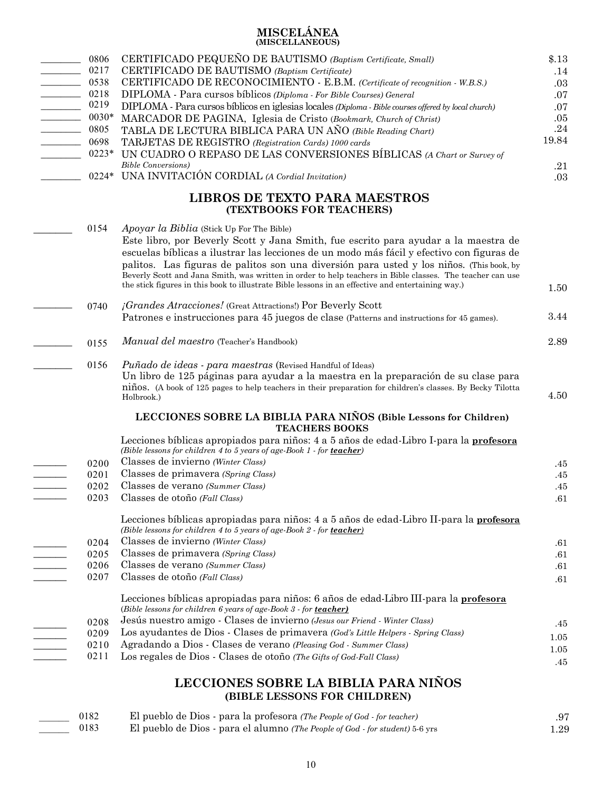### **MISCELÁNEA (MISCELLANEOUS)**

| <u> Louis Communica</u> | 0806<br>0217<br>0538<br>0218<br>0219<br>0030*<br>0805 | CERTIFICADO PEQUEÑO DE BAUTISMO (Baptism Certificate, Small)<br>CERTIFICADO DE BAUTISMO (Baptism Certificate)<br>CERTIFICADO DE RECONOCIMIENTO - E.B.M. (Certificate of recognition - W.B.S.)<br>DIPLOMA - Para cursos bíblicos (Diploma - For Bible Courses) General<br>DIPLOMA - Para cursos bíblicos en iglesias locales (Diploma - Bible courses offered by local church)<br>MARCADOR DE PAGINA, Iglesia de Cristo (Bookmark, Church of Christ)<br>TABLA DE LECTURA BIBLICA PARA UN AÑO (Bible Reading Chart)                           | \$.13<br>.14<br>.03<br>.07<br>.07<br>.05<br>.24 |
|-------------------------|-------------------------------------------------------|---------------------------------------------------------------------------------------------------------------------------------------------------------------------------------------------------------------------------------------------------------------------------------------------------------------------------------------------------------------------------------------------------------------------------------------------------------------------------------------------------------------------------------------------|-------------------------------------------------|
|                         | 0698<br>$0223*$                                       | TARJETAS DE REGISTRO (Registration Cards) 1000 cards<br>UN CUADRO O REPASO DE LAS CONVERSIONES BÍBLICAS (A Chart or Survey of<br><b>Bible Conversions</b> )                                                                                                                                                                                                                                                                                                                                                                                 | 19.84<br>.21                                    |
|                         | $0224*$                                               | UNA INVITACIÓN CORDIAL (A Cordial Invitation)                                                                                                                                                                                                                                                                                                                                                                                                                                                                                               | .03                                             |
|                         |                                                       | <b>LIBROS DE TEXTO PARA MAESTROS</b><br>(TEXTBOOKS FOR TEACHERS)                                                                                                                                                                                                                                                                                                                                                                                                                                                                            |                                                 |
|                         | 0154                                                  | Apoyar la Biblia (Stick Up For The Bible)<br>Este libro, por Beverly Scott y Jana Smith, fue escrito para ayudar a la maestra de<br>escuelas bíblicas a ilustrar las lecciones de un modo más fácil y efectivo con figuras de<br>palitos. Las figuras de palitos son una diversión para usted y los niños. (This book, by<br>Beverly Scott and Jana Smith, was written in order to help teachers in Bible classes. The teacher can use<br>the stick figures in this book to illustrate Bible lessons in an effective and entertaining way.) | 1.50                                            |
|                         | 0740                                                  | <i>jGrandes Atracciones!</i> (Great Attractions!) Por Beverly Scott<br>Patrones e instrucciones para 45 juegos de clase (Patterns and instructions for 45 games).                                                                                                                                                                                                                                                                                                                                                                           | 3.44                                            |
|                         | 0155                                                  | Manual del maestro (Teacher's Handbook)                                                                                                                                                                                                                                                                                                                                                                                                                                                                                                     | 2.89                                            |
|                         | 0156                                                  | <i>Puñado de ideas - para maestras</i> (Revised Handful of Ideas)<br>Un libro de 125 páginas para ayudar a la maestra en la preparación de su clase para<br>niños. (A book of 125 pages to help teachers in their preparation for children's classes. By Becky Tilotta<br>Holbrook.)                                                                                                                                                                                                                                                        | 4.50                                            |
|                         |                                                       | LECCIONES SOBRE LA BIBLIA PARA NIÑOS (Bible Lessons for Children)<br><b>TEACHERS BOOKS</b>                                                                                                                                                                                                                                                                                                                                                                                                                                                  |                                                 |
|                         |                                                       | Lecciones bíblicas apropiados para niños: 4 a 5 años de edad-Libro I-para la <b>profesora</b><br>(Bible lessons for children 4 to 5 years of age-Book 1 - for teacher)                                                                                                                                                                                                                                                                                                                                                                      |                                                 |
|                         | 0200                                                  | Classes de invierno (Winter Class)                                                                                                                                                                                                                                                                                                                                                                                                                                                                                                          | .45                                             |
|                         | 0201                                                  | Classes de primavera (Spring Class)                                                                                                                                                                                                                                                                                                                                                                                                                                                                                                         | .45                                             |
|                         | 0202                                                  | Classes de verano (Summer Class)                                                                                                                                                                                                                                                                                                                                                                                                                                                                                                            | .45                                             |
|                         | 0203                                                  | Classes de otoño (Fall Class)                                                                                                                                                                                                                                                                                                                                                                                                                                                                                                               | .61                                             |
|                         |                                                       | Lecciones bíblicas apropiadas para niños: 4 a 5 años de edad-Libro II-para la profesora<br>(Bible lessons for children 4 to 5 years of age-Book 2 - for teacher)                                                                                                                                                                                                                                                                                                                                                                            |                                                 |
|                         | 0204                                                  | Classes de invierno (Winter Class)                                                                                                                                                                                                                                                                                                                                                                                                                                                                                                          | .61                                             |
|                         | 0205                                                  | Classes de primavera (Spring Class)                                                                                                                                                                                                                                                                                                                                                                                                                                                                                                         | .61                                             |
|                         | 0206                                                  | Classes de verano (Summer Class)                                                                                                                                                                                                                                                                                                                                                                                                                                                                                                            | .61                                             |
|                         | 0207                                                  | Classes de otoño (Fall Class)                                                                                                                                                                                                                                                                                                                                                                                                                                                                                                               | .61                                             |
|                         |                                                       | Lecciones bíblicas apropiadas para niños: 6 años de edad-Libro III-para la profesora<br>(Bible lessons for children 6 years of age-Book 3 - for teacher)                                                                                                                                                                                                                                                                                                                                                                                    |                                                 |
|                         | 0208                                                  | Jesús nuestro amigo - Clases de invierno (Jesus our Friend - Winter Class)                                                                                                                                                                                                                                                                                                                                                                                                                                                                  | .45                                             |
|                         | 0209                                                  | Los ayudantes de Dios - Clases de primavera (God's Little Helpers - Spring Class)                                                                                                                                                                                                                                                                                                                                                                                                                                                           | 1.05                                            |
|                         | 0210                                                  | Agradando a Dios - Clases de verano (Pleasing God - Summer Class)                                                                                                                                                                                                                                                                                                                                                                                                                                                                           | 1.05                                            |
|                         | 0211                                                  | Los regales de Dios - Clases de otoño (The Gifts of God-Fall Class)                                                                                                                                                                                                                                                                                                                                                                                                                                                                         | .45                                             |
|                         |                                                       | I FOCIONES SORRE LA RIRLIA DARA NIÑOS                                                                                                                                                                                                                                                                                                                                                                                                                                                                                                       |                                                 |

### LECCIONES SOBRE LA BIBLIA PARA NINOS **(BIBLE LESSONS FOR CHILDREN)**

| 0182 | El pueblo de Dios - para la profesora (The People of God - for teacher)             | .97      |
|------|-------------------------------------------------------------------------------------|----------|
| 0183 | El pueblo de Dios - para el alumno <i>(The People of God - for student)</i> 5-6 yrs | $1.29\,$ |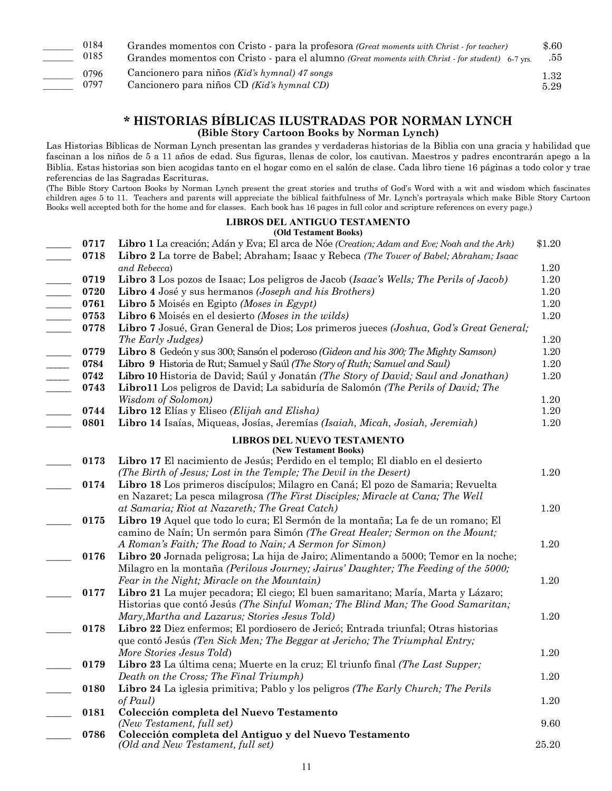| 0184 | Grandes momentos con Cristo - para la profesora (Great moments with Christ - for teacher)       | \$.60 |
|------|-------------------------------------------------------------------------------------------------|-------|
| 0185 | Grandes momentos con Cristo - para el alumno (Great moments with Christ - for student) 6-7 yrs. | .55   |
| 0796 | Cancionero para niños (Kid's hymnal) 47 songs                                                   | 1.32  |
| 0797 | Cancionero para niños CD (Kid's hymnal CD)                                                      | 5.29  |

## **\* HISTORIAS BÍBLICAS ILUSTRADAS POR NORMAN LYNCH (Bible Story Cartoon Books by Norman Lynch)**

Las Historias Bíblicas de Norman Lynch presentan las grandes y verdaderas historias de la Biblia con una gracia y habilidad que fascinan a los niños de 5 a 11 años de edad. Sus figuras, llenas de color, los cautivan. Maestros y padres encontrarán apego a la Biblia. Estas historias son bien acogidas tanto en el hogar como en el salón de clase. Cada libro tiene 16 páginas a todo color y trae referencias de las Sagradas Escrituras.

(The Bible Story Cartoon Books by Norman Lynch present the great stories and truths of God's Word with a wit and wisdom which fascinates children ages 5 to 11. Teachers and parents will appreciate the biblical faithfulness of Mr. Lynch's portrayals which make Bible Story Cartoon Books well accepted both for the home and for classes. Each book has 16 pages in full color and scripture references on every page.)

### **LIBROS DEL ANTIGUO TESTAMENTO**

|      | (Old Testament Books)                                                                                                                                             |          |
|------|-------------------------------------------------------------------------------------------------------------------------------------------------------------------|----------|
| 0717 | Libro 1 La creación; Adán y Eva; El arca de Nóe (Creation; Adam and Eve; Noah and the Ark)                                                                        | \$1.20   |
| 0718 | Libro 2 La torre de Babel; Abraham; Isaac y Rebeca (The Tower of Babel; Abraham; Isaac                                                                            |          |
|      | and Rebecca)                                                                                                                                                      | 1.20     |
| 0719 | Libro 3 Los pozos de Isaac; Los peligros de Jacob (Isaac's Wells; The Perils of Jacob)                                                                            | 1.20     |
| 0720 | Libro 4 José y sus hermanos (Joseph and his Brothers)                                                                                                             | 1.20     |
| 0761 | Libro 5 Moisés en Egipto (Moses in Egypt)                                                                                                                         | $1.20\,$ |
| 0753 | Libro 6 Moisés en el desierto (Moses in the wilds)                                                                                                                | 1.20     |
| 0778 | Libro 7 Josué, Gran General de Dios; Los primeros jueces (Joshua, God's Great General;                                                                            |          |
|      | The Early Judges)                                                                                                                                                 | 1.20     |
| 0779 | Libro 8 Gedeón y sus 300; Sansón el poderoso (Gideon and his 300; The Mighty Samson)                                                                              | 1.20     |
| 0784 | Libro 9 Historia de Rut; Samuel y Saúl (The Story of Ruth; Samuel and Saul)                                                                                       | 1.20     |
| 0742 | Libro 10 Historia de David; Saúl y Jonatán (The Story of David; Saul and Jonathan)                                                                                | 1.20     |
| 0743 | Libro11 Los peligros de David; La sabiduría de Salomón (The Perils of David; The                                                                                  |          |
|      | <b>Wisdom of Solomon</b> )                                                                                                                                        | 1.20     |
| 0744 | Libro 12 Elías y Eliseo (Elijah and Elisha)                                                                                                                       | 1.20     |
| 0801 | Libro 14 Isaías, Miqueas, Josías, Jeremías (Isaiah, Micah, Josiah, Jeremiah)                                                                                      | 1.20     |
|      | <b>LIBROS DEL NUEVO TESTAMENTO</b>                                                                                                                                |          |
|      | (New Testament Books)                                                                                                                                             |          |
| 0173 | Libro 17 El nacimiento de Jesús; Perdido en el templo; El diablo en el desierto                                                                                   |          |
|      | (The Birth of Jesus; Lost in the Temple; The Devil in the Desert)                                                                                                 | $1.20\,$ |
| 0174 | Libro 18 Los primeros discípulos; Milagro en Caná; El pozo de Samaria; Revuelta<br>en Nazaret; La pesca milagrosa (The First Disciples; Miracle at Cana; The Well |          |
|      | at Samaria; Riot at Nazareth; The Great Catch)                                                                                                                    | 1.20     |
| 0175 | Libro 19 Aquel que todo lo cura; El Sermón de la montaña; La fe de un romano; El                                                                                  |          |
|      | camino de Naín; Un sermón para Simón (The Great Healer; Sermon on the Mount;                                                                                      |          |
|      | A Roman's Faith; The Road to Nain; A Sermon for Simon)                                                                                                            | 1.20     |
| 0176 | Libro 20 Jornada peligrosa; La hija de Jairo; Alimentando a 5000; Temor en la noche;                                                                              |          |
|      | Milagro en la montaña (Perilous Journey; Jairus' Daughter; The Feeding of the 5000;                                                                               |          |
|      | Fear in the Night; Miracle on the Mountain)                                                                                                                       | 1.20     |
| 0177 | Libro 21 La mujer pecadora; El ciego; El buen samaritano; María, Marta y Lázaro;                                                                                  |          |
|      | Historias que contó Jesús (The Sinful Woman; The Blind Man; The Good Samaritan;                                                                                   |          |
|      | Mary, Martha and Lazarus; Stories Jesus Told)                                                                                                                     | 1.20     |
| 0178 | Libro 22 Diez enfermos; El pordiosero de Jericó; Entrada triunfal; Otras historias                                                                                |          |
|      | que contó Jesús (Ten Sick Men; The Beggar at Jericho; The Triumphal Entry;                                                                                        |          |
|      | More Stories Jesus Told)                                                                                                                                          | 1.20     |
| 0179 | Libro 23 La última cena; Muerte en la cruz; El triunfo final (The Last Supper;                                                                                    |          |
|      | Death on the Cross; The Final Triumph)                                                                                                                            | 1.20     |
| 0180 | Libro 24 La iglesia primitiva; Pablo y los peligros (The Early Church; The Perils                                                                                 |          |
|      | of Paul)                                                                                                                                                          | 1.20     |
| 0181 | Colección completa del Nuevo Testamento                                                                                                                           |          |
|      | (New Testament, full set)                                                                                                                                         | 9.60     |
| 0786 | Colección completa del Antiguo y del Nuevo Testamento                                                                                                             |          |
|      | (Old and New Testament, full set)                                                                                                                                 | 25.20    |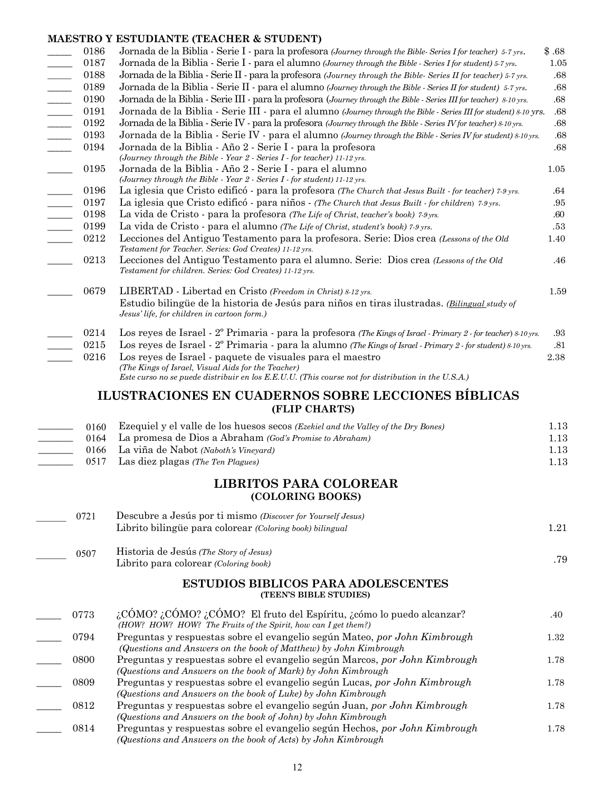### **MAESTRO Y ESTUDIANTE (TEACHER & STUDENT)**

|                            | 0186<br>0187<br>0188<br>0189<br>0190 | Jornada de la Biblia - Serie I - para la profesora (Journey through the Bible-Series I for teacher) 5-7 yrs.<br>Jornada de la Biblia - Serie I - para el alumno (Journey through the Bible - Series I for student) 5-7 yrs.<br>Jornada de la Biblia - Serie II - para la profesora (Journey through the Bible- Series II for teacher) 5-7 yrs.<br>Jornada de la Biblia - Serie II - para el alumno (Journey through the Bible - Series II for student) 5-7 yrs.<br>Jornada de la Biblia - Serie III - para la profesora (Journey through the Bible - Series III for teacher) 8-10 yrs. | \$.68<br>1.05<br>$.68\,$<br>$.68\,$<br>.68 |
|----------------------------|--------------------------------------|----------------------------------------------------------------------------------------------------------------------------------------------------------------------------------------------------------------------------------------------------------------------------------------------------------------------------------------------------------------------------------------------------------------------------------------------------------------------------------------------------------------------------------------------------------------------------------------|--------------------------------------------|
|                            | 0191                                 | Jornada de la Biblia - Serie III - para el alumno (Journey through the Bible - Series III for student) 8-10 yrs.                                                                                                                                                                                                                                                                                                                                                                                                                                                                       | $.68\,$                                    |
| $\overline{\phantom{a}}$   | 0192                                 | Jornada de la Biblia - Serie IV - para la profesora (Journey through the Bible - Series IV for teacher) 8-10 yrs.                                                                                                                                                                                                                                                                                                                                                                                                                                                                      | $.68\,$                                    |
| $\mathcal{L}$              | 0193                                 | Jornada de la Biblia - Serie IV - para el alumno (Journey through the Bible - Series IV for student) 8-10 yrs.                                                                                                                                                                                                                                                                                                                                                                                                                                                                         | $.68\,$                                    |
| $\frac{1}{2}$              | 0194                                 | Jornada de la Biblia - Año 2 - Serie I - para la profesora<br>(Journey through the Bible - Year 2 - Series I - for teacher) 11-12 yrs.                                                                                                                                                                                                                                                                                                                                                                                                                                                 | .68                                        |
|                            | 0195                                 | Jornada de la Biblia - Año 2 - Serie I - para el alumno<br>(Journey through the Bible - Year $2$ - Series $I$ - for student) 11-12 yrs.                                                                                                                                                                                                                                                                                                                                                                                                                                                | 1.05                                       |
|                            | 0196                                 | La iglesia que Cristo edificó - para la profesora (The Church that Jesus Built - for teacher) 7.9 yrs.                                                                                                                                                                                                                                                                                                                                                                                                                                                                                 | .64                                        |
| $\mathcal{L}^{\text{max}}$ | 0197                                 | La iglesia que Cristo edificó - para niños - (The Church that Jesus Built - for children) 7.9 yrs.                                                                                                                                                                                                                                                                                                                                                                                                                                                                                     | .95                                        |
| $\overline{\phantom{a}}$   | 0198                                 | La vida de Cristo - para la profesora (The Life of Christ, teacher's book) 7-9 yrs.                                                                                                                                                                                                                                                                                                                                                                                                                                                                                                    | .60                                        |
| $\mathcal{L}(\mathcal{L})$ | 0199                                 | La vida de Cristo - para el alumno (The Life of Christ, student's book) 7-9 yrs.                                                                                                                                                                                                                                                                                                                                                                                                                                                                                                       | .53                                        |
|                            | 0212                                 | Lecciones del Antiguo Testamento para la profesora. Serie: Dios crea (Lessons of the Old<br>Testament for Teacher. Series: God Creates) 11-12 yrs.                                                                                                                                                                                                                                                                                                                                                                                                                                     | 1.40                                       |
|                            | 0213                                 | Lecciones del Antiguo Testamento para el alumno. Serie: Dios crea (Lessons of the Old<br>Testament for children. Series: God Creates) 11-12 yrs.                                                                                                                                                                                                                                                                                                                                                                                                                                       | .46                                        |
|                            | 0679                                 | LIBERTAD - Libertad en Cristo (Freedom in Christ) 8-12 yrs.                                                                                                                                                                                                                                                                                                                                                                                                                                                                                                                            | 1.59                                       |
|                            |                                      | Estudio bilingüe de la historia de Jesús para niños en tiras ilustradas. (Bilingual study of<br>Jesus' life, for children in cartoon form.)                                                                                                                                                                                                                                                                                                                                                                                                                                            |                                            |
|                            | 0214                                 | Los reyes de Israel - 2 <sup>o</sup> Primaria - para la profesora (The Kings of Israel - Primary 2 - for teacher) 8-10 yrs.                                                                                                                                                                                                                                                                                                                                                                                                                                                            | $.93\,$                                    |
|                            | 0215                                 | Los reyes de Israel - 2 <sup>o</sup> Primaria - para la alumno (The Kings of Israel - Primary 2 - for student) 8-10 yrs.                                                                                                                                                                                                                                                                                                                                                                                                                                                               | .81                                        |
|                            | 0216                                 | Los reyes de Israel - paquete de visuales para el maestro                                                                                                                                                                                                                                                                                                                                                                                                                                                                                                                              | 2.38                                       |
|                            |                                      | (The Kings of Israel, Visual Aids for the Teacher)<br>Este curso no se puede distribuir en los E.E.U.U. (This course not for distribution in the U.S.A.)                                                                                                                                                                                                                                                                                                                                                                                                                               |                                            |
|                            |                                      | ILUSTRACIONES EN CUADERNOS SOBRE LECCIONES BÍBLICAS<br>(FLIP CHARTS)                                                                                                                                                                                                                                                                                                                                                                                                                                                                                                                   |                                            |
|                            | 0160                                 | Ezequiel y el valle de los huesos secos (Ezekiel and the Valley of the Dry Bones)<br>La promesa de Dios a Abraham (God's Promise to Abraham)                                                                                                                                                                                                                                                                                                                                                                                                                                           | 1.13<br>1.13                               |
|                            | 0164<br>0166                         | La viña de Nabot (Naboth's Vineyard)                                                                                                                                                                                                                                                                                                                                                                                                                                                                                                                                                   |                                            |
|                            | 0517                                 | Las diez plagas (The Ten Plagues)                                                                                                                                                                                                                                                                                                                                                                                                                                                                                                                                                      | 1.13                                       |
|                            |                                      |                                                                                                                                                                                                                                                                                                                                                                                                                                                                                                                                                                                        | 1.13                                       |
|                            |                                      | <b>LIBRITOS PARA COLOREAR</b><br>(COLORING BOOKS)                                                                                                                                                                                                                                                                                                                                                                                                                                                                                                                                      |                                            |
|                            | 0721                                 | Descubre a Jesús por ti mismo (Discover for Yourself Jesus)                                                                                                                                                                                                                                                                                                                                                                                                                                                                                                                            |                                            |
|                            |                                      | Librito bilingüe para colorear (Coloring book) bilingual                                                                                                                                                                                                                                                                                                                                                                                                                                                                                                                               | 1.21                                       |
|                            | 0507                                 | Historia de Jesús (The Story of Jesus)<br>Librito para colorear (Coloring book)                                                                                                                                                                                                                                                                                                                                                                                                                                                                                                        | .79                                        |
|                            |                                      | <b>ESTUDIOS BIBLICOS PARA ADOLESCENTES</b><br>(TEEN'S BIBLE STUDIES)                                                                                                                                                                                                                                                                                                                                                                                                                                                                                                                   |                                            |
|                            | 0773                                 | $\lambda$ CÓMO? $\lambda$ CÓMO? $\lambda$ CÓMO? El fruto del Espíritu, $\lambda$ cómo lo puedo alcanzar?<br>(HOW? HOW? HOW? The Fruits of the Spirit, how can I get them?)                                                                                                                                                                                                                                                                                                                                                                                                             | .40                                        |
|                            | 0794                                 | Preguntas y respuestas sobre el evangelio según Mateo, por John Kimbrough<br>(Questions and Answers on the book of Matthew) by John Kimbrough                                                                                                                                                                                                                                                                                                                                                                                                                                          | 1.32                                       |
|                            | 0800                                 | Preguntas y respuestas sobre el evangelio según Marcos, por John Kimbrough<br>(Questions and Answers on the book of Mark) by John Kimbrough                                                                                                                                                                                                                                                                                                                                                                                                                                            | 1.78                                       |
|                            | 0809                                 | Preguntas y respuestas sobre el evangelio según Lucas, por John Kimbrough<br>(Questions and Answers on the book of Luke) by John Kimbrough                                                                                                                                                                                                                                                                                                                                                                                                                                             | 1.78                                       |
|                            | 0812                                 | Preguntas y respuestas sobre el evangelio según Juan, por John Kimbrough<br>(Questions and Answers on the book of John) by John Kimbrough                                                                                                                                                                                                                                                                                                                                                                                                                                              | 1.78                                       |
|                            | 0814                                 | Preguntas y respuestas sobre el evangelio según Hechos, por John Kimbrough<br>(Questions and Answers on the book of Acts) by John Kimbrough                                                                                                                                                                                                                                                                                                                                                                                                                                            | 1.78                                       |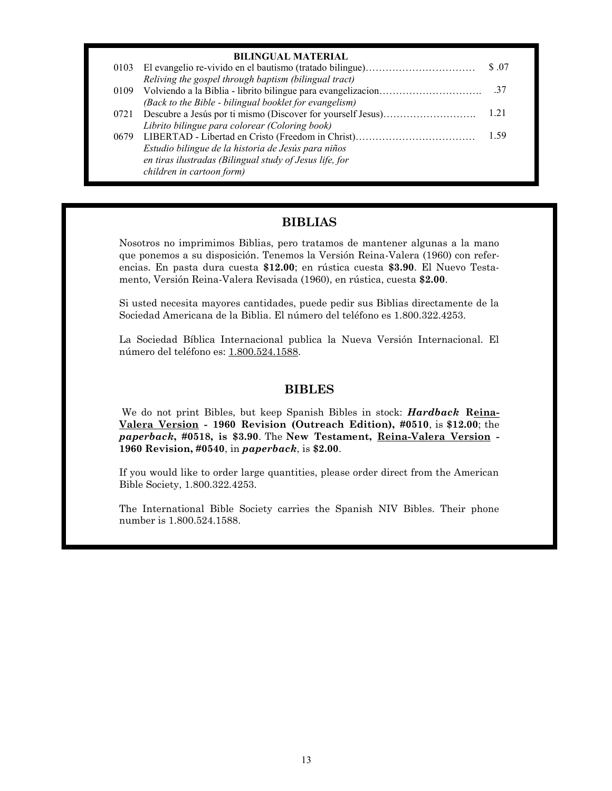| <b>BILINGUAL MATERIAL</b>                               |        |
|---------------------------------------------------------|--------|
|                                                         | \$ .07 |
| Reliving the gospel through baptism (bilingual tract)   |        |
|                                                         |        |
| (Back to the Bible - bilingual booklet for evangelism)  |        |
|                                                         | 1 2 I  |
| Librito bilingue para colorear (Coloring book)          |        |
|                                                         | 1.59   |
| Estudio bilingue de la historia de Jesús para niños     |        |
| en tiras ilustradas (Bilingual study of Jesus life, for |        |
| children in cartoon form)                               |        |

### **BIBLIAS**

Nosotros no imprimimos Biblias, pero tratamos de mantener algunas a la mano que ponemos a su disposición. Tenemos la Versión Reina-Valera (1960) con referencias. En pasta dura cuesta **\$12.00**; en rústica cuesta **\$3.90**. El Nuevo Testamento, Versión Reina-Valera Revisada (1960), en rústica, cuesta **\$2.00**.

Si usted necesita mayores cantidades, puede pedir sus Biblias directamente de la Sociedad Americana de la Biblia. El número del teléfono es 1.800.322.4253.

La Sociedad Bíblica Internacional publica la Nueva Versión Internacional. El número del teléfono es: 1.800.524.1588.

### **BIBLES**

We do not print Bibles, but keep Spanish Bibles in stock: *Hardback* **Reina-Valera Version - 1960 Revision (Outreach Edition), #0510**, is **\$12.00**; the *paperback***, #0518, is \$3.90**. The **New Testament, Reina-Valera Version - 1960 Revision, #0540**, in *paperback*, is **\$2.00**.

If you would like to order large quantities, please order direct from the American Bible Society, 1.800.322.4253.

The International Bible Society carries the Spanish NIV Bibles. Their phone number is 1.800.524.1588.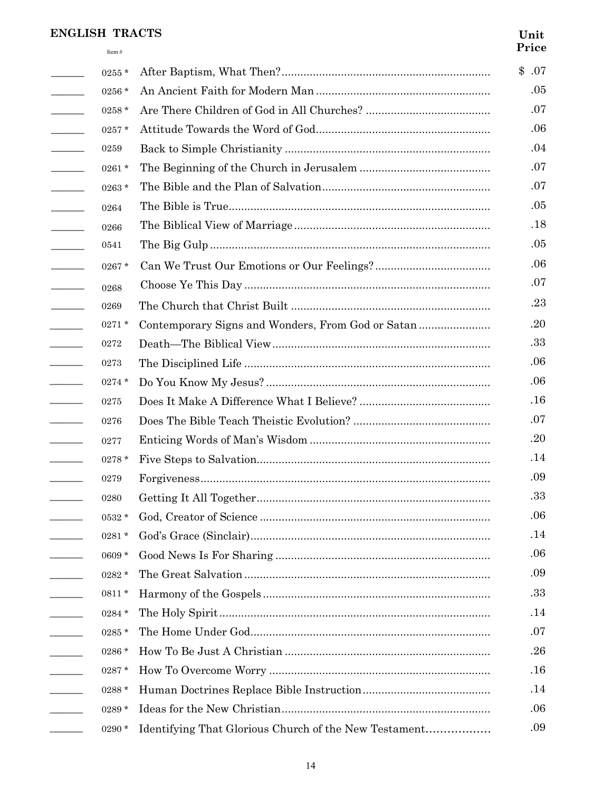### **ENGLISH TRACTS**

Item  $#$ 

### Unit Price

|                                                                                                                                                                                                                                                                                                                                                                                                                                                                                                  | $0255*$    |                                                       | \$.07 |
|--------------------------------------------------------------------------------------------------------------------------------------------------------------------------------------------------------------------------------------------------------------------------------------------------------------------------------------------------------------------------------------------------------------------------------------------------------------------------------------------------|------------|-------------------------------------------------------|-------|
| $\overline{\phantom{a}}$                                                                                                                                                                                                                                                                                                                                                                                                                                                                         | 0256 *     |                                                       | .05   |
| $\overline{\phantom{a}}$                                                                                                                                                                                                                                                                                                                                                                                                                                                                         | $0258 *$   |                                                       | .07   |
| $\overline{\phantom{a}}$                                                                                                                                                                                                                                                                                                                                                                                                                                                                         | 0257 *     |                                                       | .06   |
| $\overline{\phantom{a}}$                                                                                                                                                                                                                                                                                                                                                                                                                                                                         | 0259       |                                                       | .04   |
| $\overline{\phantom{a}}$                                                                                                                                                                                                                                                                                                                                                                                                                                                                         | 0261 *     |                                                       | .07   |
| $\mathcal{L}^{\text{max}}_{\text{max}}$                                                                                                                                                                                                                                                                                                                                                                                                                                                          | 0263*      |                                                       | .07   |
| $\begin{tabular}{ll} \multicolumn{2}{c} {\textbf{1}} & \multicolumn{2}{c} {\textbf{1}} & \multicolumn{2}{c} {\textbf{1}} \\ \multicolumn{2}{c} {\textbf{2}} & \multicolumn{2}{c} {\textbf{3}} & \multicolumn{2}{c} {\textbf{4}} \\ \multicolumn{2}{c} {\textbf{4}} & \multicolumn{2}{c} {\textbf{5}} & \multicolumn{2}{c} {\textbf{6}} \\ \multicolumn{2}{c} {\textbf{5}} & \multicolumn{2}{c} {\textbf{6}} & \multicolumn{2}{c} {\textbf{6}} \\ \multicolumn{2}{c} {\textbf{5}} & \multicolumn$ | 0264       |                                                       | .05   |
| $\overline{\phantom{a}}$                                                                                                                                                                                                                                                                                                                                                                                                                                                                         | 0266       |                                                       | .18   |
| $\overline{\phantom{a}}$                                                                                                                                                                                                                                                                                                                                                                                                                                                                         | 0541       |                                                       | .05   |
| $\sim$ $\sim$ $\sim$                                                                                                                                                                                                                                                                                                                                                                                                                                                                             | $0267 *$   |                                                       | .06   |
| $\begin{tabular}{ll} \multicolumn{2}{c} {\textbf{1}} & \multicolumn{2}{c} {\textbf{1}} & \multicolumn{2}{c} {\textbf{1}} \\ \multicolumn{2}{c} {\textbf{2}} & \multicolumn{2}{c} {\textbf{3}} & \multicolumn{2}{c} {\textbf{4}} \\ \multicolumn{2}{c} {\textbf{5}} & \multicolumn{2}{c} {\textbf{6}} & \multicolumn{2}{c} {\textbf{6}} \\ \multicolumn{2}{c} {\textbf{1}} & \multicolumn{2}{c} {\textbf{1}} & \multicolumn{2}{c} {\textbf{1}} \\ \multicolumn{2}{c} {\textbf{1}} & \multicolumn$ | 0268       |                                                       | .07   |
| $\frac{1}{2} \left( \frac{1}{2} \right)^2 \left( \frac{1}{2} \right)^2 \left( \frac{1}{2} \right)^2$                                                                                                                                                                                                                                                                                                                                                                                             | 0269       |                                                       | .23   |
| $\overline{\phantom{a}}$                                                                                                                                                                                                                                                                                                                                                                                                                                                                         | $0271*$    | Contemporary Signs and Wonders, From God or Satan     | .20   |
| $\overline{\phantom{a}}$                                                                                                                                                                                                                                                                                                                                                                                                                                                                         | $\bf 0272$ |                                                       | .33   |
| $\mathcal{L}$ . The contract of $\mathcal{L}$                                                                                                                                                                                                                                                                                                                                                                                                                                                    | 0273       |                                                       | .06   |
| $\overline{\phantom{a}}$                                                                                                                                                                                                                                                                                                                                                                                                                                                                         | $0274*$    |                                                       | .06   |
|                                                                                                                                                                                                                                                                                                                                                                                                                                                                                                  | 0275       |                                                       | .16   |
| $\overline{\phantom{a}}$                                                                                                                                                                                                                                                                                                                                                                                                                                                                         | 0276       |                                                       | .07   |
| $\frac{1}{2} \left( \frac{1}{2} \right)^2 + \frac{1}{2} \left( \frac{1}{2} \right)^2 + \frac{1}{2} \left( \frac{1}{2} \right)^2 + \frac{1}{2} \left( \frac{1}{2} \right)^2 + \frac{1}{2} \left( \frac{1}{2} \right)^2 + \frac{1}{2} \left( \frac{1}{2} \right)^2 + \frac{1}{2} \left( \frac{1}{2} \right)^2 + \frac{1}{2} \left( \frac{1}{2} \right)^2 + \frac{1}{2} \left( \frac{1}{2} \right)^2 + \frac{1}{2} \left( \frac{1}{2} \right)^2 +$                                                  | 0277       |                                                       | .20   |
| $\overline{\phantom{a}}$                                                                                                                                                                                                                                                                                                                                                                                                                                                                         | $0278*$    |                                                       | .14   |
| $\overline{\phantom{a}}$                                                                                                                                                                                                                                                                                                                                                                                                                                                                         | 0279       |                                                       | .09   |
| $\overline{\phantom{a}}$                                                                                                                                                                                                                                                                                                                                                                                                                                                                         | 0280       |                                                       | .33   |
|                                                                                                                                                                                                                                                                                                                                                                                                                                                                                                  | $0532*$    |                                                       | .06   |
| $\sim 10^{-1}$                                                                                                                                                                                                                                                                                                                                                                                                                                                                                   | $0281 *$   |                                                       | .14   |
|                                                                                                                                                                                                                                                                                                                                                                                                                                                                                                  | $0609 *$   |                                                       | .06   |
| $\mathcal{L} = \mathcal{L}$                                                                                                                                                                                                                                                                                                                                                                                                                                                                      | $0282 *$   |                                                       | .09   |
| $\overline{a}$                                                                                                                                                                                                                                                                                                                                                                                                                                                                                   | $0811*$    |                                                       | .33   |
|                                                                                                                                                                                                                                                                                                                                                                                                                                                                                                  | $0284 *$   |                                                       | .14   |
| $\overline{a}$                                                                                                                                                                                                                                                                                                                                                                                                                                                                                   | 0285 *     |                                                       | .07   |
| $\overline{\phantom{a}}$                                                                                                                                                                                                                                                                                                                                                                                                                                                                         | $0286 *$   |                                                       | .26   |
|                                                                                                                                                                                                                                                                                                                                                                                                                                                                                                  | $0287 *$   |                                                       | .16   |
|                                                                                                                                                                                                                                                                                                                                                                                                                                                                                                  | $0288*$    |                                                       | .14   |
|                                                                                                                                                                                                                                                                                                                                                                                                                                                                                                  | $0289 *$   |                                                       | .06   |
|                                                                                                                                                                                                                                                                                                                                                                                                                                                                                                  | $0290*$    | Identifying That Glorious Church of the New Testament | .09   |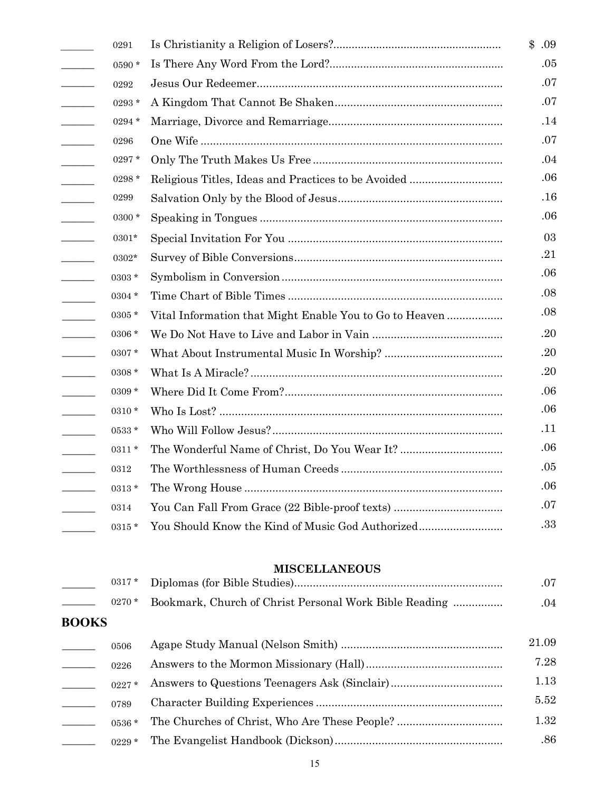|                                          | 0291     |                                                         | \$    |
|------------------------------------------|----------|---------------------------------------------------------|-------|
| $\mathcal{L}$                            | 0590*    |                                                         |       |
| $\overline{\phantom{a}}$                 | 0292     |                                                         |       |
| $\mathcal{L}$ . The set of $\mathcal{L}$ | $0293*$  |                                                         |       |
|                                          | $0294 *$ |                                                         |       |
| $\frac{1}{2}$                            | 0296     |                                                         |       |
|                                          | 0297*    |                                                         |       |
| $\mathcal{L}$                            | 0298 *   | Religious Titles, Ideas and Practices to be Avoided     |       |
| $\sim$                                   | 0299     |                                                         |       |
| $\mathcal{L}$                            | $0300*$  |                                                         |       |
| $\frac{1}{2}$                            | 0301*    |                                                         |       |
| $\overline{\phantom{a}}$                 | 0302*    |                                                         |       |
| $\mathcal{L}^{\text{max}}_{\text{max}}$  | 0303 *   |                                                         |       |
|                                          | 0304 *   |                                                         |       |
|                                          | 0305 *   | Vital Information that Might Enable You to Go to Heaven |       |
|                                          | 0306 *   |                                                         |       |
|                                          | 0307*    |                                                         |       |
| $\overline{\phantom{a}}$                 | 0308 *   |                                                         |       |
| $\mathcal{L}$ . The set of $\mathcal{L}$ | 0309 *   |                                                         |       |
| $\overline{\phantom{a}}$                 | 0310 *   |                                                         |       |
|                                          | 0533 *   |                                                         |       |
|                                          | $0311 *$ |                                                         |       |
|                                          | 0312     |                                                         |       |
|                                          | $0313 *$ |                                                         |       |
|                                          | 0314     | You Can Fall From Grace (22 Bible-proof texts)          |       |
|                                          | 0315 *   | You Should Know the Kind of Music God Authorized        |       |
|                                          |          | <b>MISCELLANEOUS</b>                                    |       |
|                                          | 0317*    |                                                         |       |
|                                          | 0270 *   | Bookmark, Church of Christ Personal Work Bible Reading  |       |
| <b>BOOKS</b>                             |          |                                                         |       |
|                                          | 0506     |                                                         | 21.09 |
|                                          | 0226     |                                                         |       |
|                                          | 0227*    |                                                         |       |
|                                          | 0789     |                                                         |       |
| $\mathcal{L} = \mathcal{L}$              | 0536 *   |                                                         |       |
|                                          | 0229 $*$ |                                                         |       |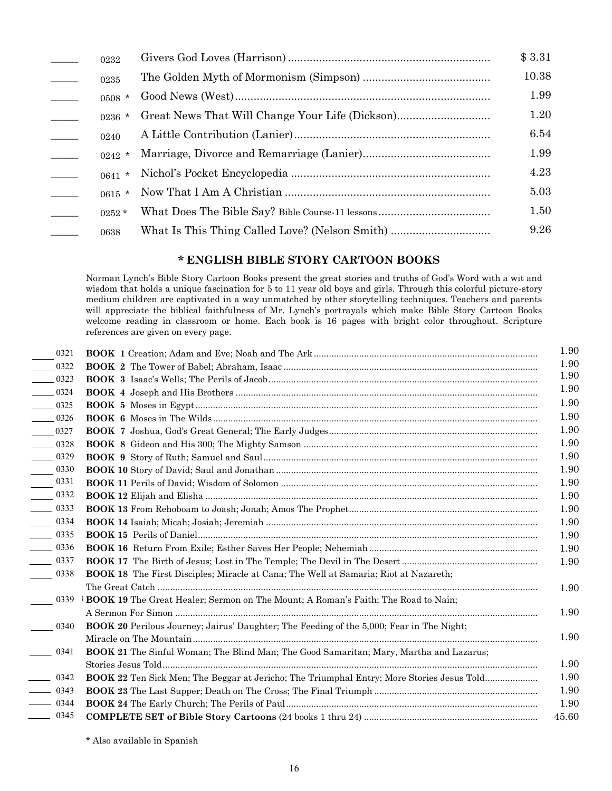| $\sim$ 100 $\mu$         | 0232     |                                                | \$3.31 |
|--------------------------|----------|------------------------------------------------|--------|
|                          | 0235     |                                                | 10.38  |
|                          | $0508 *$ |                                                | 1.99   |
|                          | $0236$ * |                                                | 1.20   |
| $\overline{\phantom{a}}$ | 0240     |                                                | 6.54   |
|                          | $0242$ * |                                                | 1.99   |
| $\overline{\phantom{a}}$ | $0641$ * |                                                | 4.23   |
|                          | $0615$ * |                                                | 5.03   |
|                          | $0252*$  |                                                | 1.50   |
|                          | 0638     | What Is This Thing Called Love? (Nelson Smith) | 9.26   |

# **\* ENGLISH BIBLE STORY CARTOON BOOKS**

Norman Lynch's Bible Story Cartoon Books present the great stories and truths of God's Word with a wit and wisdom that holds a unique fascination for 5 to 11 year old boys and girls. Through this colorful picture-story medium children are captivated in a way unmatched by other storytelling techniques. Teachers and parents will appreciate the biblical faithfulness of Mr. Lynch's portrayals which make Bible Story Cartoon Books welcome reading in classroom or home. Each book is 16 pages with bright color throughout. Scripture references are given on every page.

| 0321                               |                                                                                                 | 1.90  |
|------------------------------------|-------------------------------------------------------------------------------------------------|-------|
| $- 0322$                           |                                                                                                 | 1.90  |
| $- 0323$                           |                                                                                                 | 1.90  |
| $\frac{1}{2}$ 0324                 |                                                                                                 | 1.90  |
| $- 0325$                           |                                                                                                 | 1.90  |
| $\frac{1}{2}$ 0326                 |                                                                                                 | 1.90  |
| $- 0327$                           |                                                                                                 | 1.90  |
| $\frac{1}{2}$ 0328                 |                                                                                                 | 1.90  |
| $- 0329$                           |                                                                                                 | 1.90  |
| $\frac{1}{2}$ 0330                 |                                                                                                 | 1.90  |
| 0331<br>$\overline{\phantom{a}}$   |                                                                                                 | 1.90  |
| $\frac{0.332}{2}$                  |                                                                                                 | 1.90  |
| $\frac{1}{2}$ 0333                 |                                                                                                 | 1.90  |
| $\frac{1}{2}$ 0334                 |                                                                                                 | 1.90  |
| $\frac{1}{2}$ 0335                 |                                                                                                 | 1.90  |
| $\frac{1}{2}$ 0336                 |                                                                                                 | 1.90  |
| $\frac{1}{2}$ 0337                 |                                                                                                 | 1.90  |
| 0338<br>$\mathcal{L}^{\text{max}}$ | <b>BOOK 18</b> The First Disciples; Miracle at Cana; The Well at Samaria; Riot at Nazareth;     |       |
|                                    |                                                                                                 | 1.90  |
| 0339                               | <b>BOOK 19</b> The Great Healer; Sermon on The Mount; A Roman's Faith; The Road to Nain;        |       |
|                                    |                                                                                                 | 1.90  |
| 0340                               | <b>BOOK 20</b> Perilous Journey; Jairus' Daughter; The Feeding of the 5,000; Fear in The Night; |       |
|                                    |                                                                                                 | 1.90  |
| 0341                               | <b>BOOK 21</b> The Sinful Woman; The Blind Man; The Good Samaritan; Mary, Martha and Lazarus;   |       |
|                                    |                                                                                                 | 1.90  |
| $- 0342$                           | BOOK 22 Ten Sick Men; The Beggar at Jericho; The Triumphal Entry; More Stories Jesus Told       | 1.90  |
| $- 0343$                           |                                                                                                 | 1.90  |
| $- 0344$                           |                                                                                                 | 1.90  |
| $- 0345$                           |                                                                                                 | 45.60 |

\* Also available in Spanish